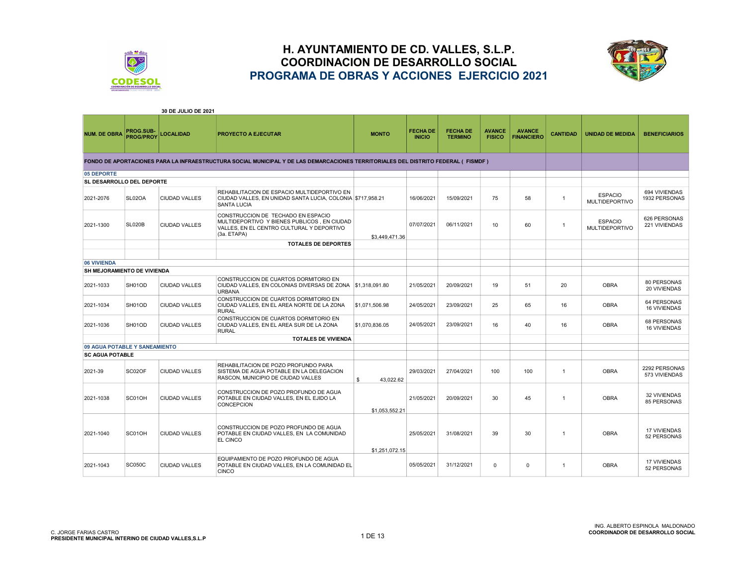



|                               |                               | 30 DE JULIO DE 2021  |                                                                                                                                               |                 |                                  |                                   |                                |                                    |                 |                                         |                                    |
|-------------------------------|-------------------------------|----------------------|-----------------------------------------------------------------------------------------------------------------------------------------------|-----------------|----------------------------------|-----------------------------------|--------------------------------|------------------------------------|-----------------|-----------------------------------------|------------------------------------|
| <b>NUM. DE OBRA</b>           | PROG.SUB-<br><b>PROG/PROY</b> | <b>LOCALIDAD</b>     | <b>PROYECTO A EJECUTAR</b>                                                                                                                    | <b>MONTO</b>    | <b>FECHA DE</b><br><b>INICIO</b> | <b>FECHA DE</b><br><b>TERMINO</b> | <b>AVANCE</b><br><b>FISICO</b> | <b>AVANCE</b><br><b>FINANCIERO</b> | <b>CANTIDAD</b> | <b>UNIDAD DE MEDIDA</b>                 | <b>BENEFICIARIOS</b>               |
|                               |                               |                      | FONDO DE APORTACIONES PARA LA INFRAESTRUCTURA SOCIAL MUNICIPAL Y DE LAS DEMARCACIONES TERRITORIALES DEL DISTRITO FEDERAL (FISMDF)             |                 |                                  |                                   |                                |                                    |                 |                                         |                                    |
| 05 DEPORTE                    |                               |                      |                                                                                                                                               |                 |                                  |                                   |                                |                                    |                 |                                         |                                    |
| SL DESARROLLO DEL DEPORTE     |                               |                      |                                                                                                                                               |                 |                                  |                                   |                                |                                    |                 |                                         |                                    |
| 2021-2076                     | SL02OA                        | <b>CIUDAD VALLES</b> | REHABILITACION DE ESPACIO MULTIDEPORTIVO EN<br>CIUDAD VALLES, EN UNIDAD SANTA LUCIA, COLONIA \$717,958.21<br><b>SANTA LUCIA</b>               |                 | 16/06/2021                       | 15/09/2021                        | 75                             | 58                                 | $\overline{1}$  | <b>ESPACIO</b><br><b>MULTIDEPORTIVO</b> | 694 VIVIENDAS<br>1932 PERSONAS     |
| 2021-1300                     | <b>SL020B</b>                 | <b>CIUDAD VALLES</b> | CONSTRUCCION DE TECHADO EN ESPACIO<br>MULTIDEPORTIVO Y BIENES PUBLICOS. EN CIUDAD<br>VALLES, EN EL CENTRO CULTURAL Y DEPORTIVO<br>(3a. ETAPA) | \$3,449,471.36  | 07/07/2021                       | 06/11/2021                        | 10 <sup>1</sup>                | 60                                 | $\overline{1}$  | <b>ESPACIO</b><br><b>MULTIDEPORTIVO</b> | 626 PERSONAS<br>221 VIVIENDAS      |
|                               |                               |                      | <b>TOTALES DE DEPORTES</b>                                                                                                                    |                 |                                  |                                   |                                |                                    |                 |                                         |                                    |
|                               |                               |                      |                                                                                                                                               |                 |                                  |                                   |                                |                                    |                 |                                         |                                    |
| 06 VIVIENDA                   |                               |                      |                                                                                                                                               |                 |                                  |                                   |                                |                                    |                 |                                         |                                    |
| SH MEJORAMIENTO DE VIVIENDA   |                               |                      |                                                                                                                                               |                 |                                  |                                   |                                |                                    |                 |                                         |                                    |
| 2021-1033                     | SH01OD                        | <b>CIUDAD VALLES</b> | CONSTRUCCION DE CUARTOS DORMITORIO EN<br>CIUDAD VALLES. EN COLONIAS DIVERSAS DE ZONA \$1,318,091.80<br><b>URBANA</b>                          |                 | 21/05/2021                       | 20/09/2021                        | 19                             | 51                                 | 20              | <b>OBRA</b>                             | 80 PERSONAS<br>20 VIVIENDAS        |
| 2021-1034                     | SH01OD                        | <b>CIUDAD VALLES</b> | CONSTRUCCION DE CUARTOS DORMITORIO EN<br>CIUDAD VALLES, EN EL AREA NORTE DE LA ZONA<br><b>RURAL</b>                                           | \$1,071,506.98  | 24/05/2021                       | 23/09/2021                        | 25                             | 65                                 | 16              | <b>OBRA</b>                             | 64 PERSONAS<br><b>16 VIVIENDAS</b> |
| 2021-1036                     | SH01OD                        | <b>CIUDAD VALLES</b> | CONSTRUCCION DE CUARTOS DORMITORIO EN<br>CIUDAD VALLES. EN EL AREA SUR DE LA ZONA<br><b>RURAL</b>                                             | \$1.070.836.05  | 24/05/2021                       | 23/09/2021                        | 16                             | 40                                 | 16              | <b>OBRA</b>                             | 68 PERSONAS<br><b>16 VIVIENDAS</b> |
|                               |                               |                      | <b>TOTALES DE VIVIENDA</b>                                                                                                                    |                 |                                  |                                   |                                |                                    |                 |                                         |                                    |
| 09 AGUA POTABLE Y SANEAMIENTO |                               |                      |                                                                                                                                               |                 |                                  |                                   |                                |                                    |                 |                                         |                                    |
| <b>SC AGUA POTABLE</b>        |                               |                      |                                                                                                                                               |                 |                                  |                                   |                                |                                    |                 |                                         |                                    |
| 2021-39                       | SC02OF                        | <b>CIUDAD VALLES</b> | REHABILITACION DE POZO PROFUNDO PARA<br>SISTEMA DE AGUA POTABLE EN LA DELEGACION<br>RASCON, MUNICIPIO DE CIUDAD VALLES                        | 43,022.62<br>\$ | 29/03/2021                       | 27/04/2021                        | 100                            | 100                                | $\mathbf{1}$    | <b>OBRA</b>                             | 2292 PERSONAS<br>573 VIVIENDAS     |
| 2021-1038                     | SC01OH                        | <b>CIUDAD VALLES</b> | CONSTRUCCION DE POZO PROFUNDO DE AGUA<br>POTABLE EN CIUDAD VALLES, EN EL EJIDO LA<br><b>CONCEPCION</b>                                        | \$1.053.552.21  | 21/05/2021                       | 20/09/2021                        | 30                             | 45                                 | $\overline{1}$  | <b>OBRA</b>                             | 32 VIVIENDAS<br>85 PERSONAS        |
| 2021-1040                     | SC01OH                        | <b>CIUDAD VALLES</b> | CONSTRUCCION DE POZO PROFUNDO DE AGUA<br>POTABLE EN CIUDAD VALLES. EN LA COMUNIDAD<br><b>EL CINCO</b>                                         | \$1,251,072.15  | 25/05/2021                       | 31/08/2021                        | 39                             | 30                                 | $\overline{1}$  | <b>OBRA</b>                             | <b>17 VIVIENDAS</b><br>52 PERSONAS |
| 2021-1043                     | <b>SC050C</b>                 | <b>CIUDAD VALLES</b> | EQUIPAMIENTO DE POZO PROFUNDO DE AGUA<br>POTABLE EN CIUDAD VALLES, EN LA COMUNIDAD EL<br><b>CINCO</b>                                         |                 | 05/05/2021                       | 31/12/2021                        | $\Omega$                       | $\mathbf{0}$                       | $\overline{1}$  | <b>OBRA</b>                             | <b>17 VIVIENDAS</b><br>52 PERSONAS |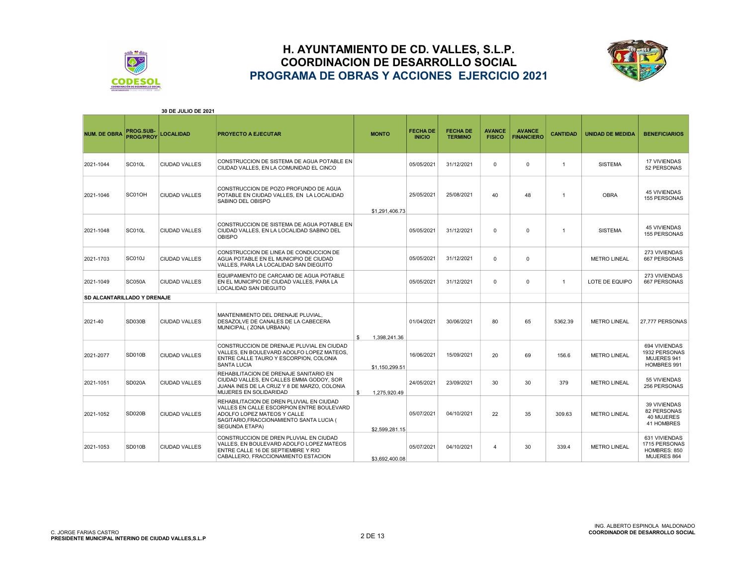



| 30 DE JULIO DE 2021         |                               |                      |                                                                                                                                                                                           |                    |                                  |                                   |                                |                                    |                 |                         |                                                               |
|-----------------------------|-------------------------------|----------------------|-------------------------------------------------------------------------------------------------------------------------------------------------------------------------------------------|--------------------|----------------------------------|-----------------------------------|--------------------------------|------------------------------------|-----------------|-------------------------|---------------------------------------------------------------|
| <b>NUM. DE OBRA</b>         | PROG.SUB-<br><b>PROG/PROY</b> | <b>LOCALIDAD</b>     | PROYECTO A EJECUTAR                                                                                                                                                                       | <b>MONTO</b>       | <b>FECHA DE</b><br><b>INICIO</b> | <b>FECHA DE</b><br><b>TERMINO</b> | <b>AVANCE</b><br><b>FISICO</b> | <b>AVANCE</b><br><b>FINANCIERO</b> | <b>CANTIDAD</b> | <b>UNIDAD DE MEDIDA</b> | <b>BENEFICIARIOS</b>                                          |
| 2021-1044                   | <b>SC010L</b>                 | <b>CIUDAD VALLES</b> | CONSTRUCCION DE SISTEMA DE AGUA POTABLE EN<br>CIUDAD VALLES. EN LA COMUNIDAD EL CINCO                                                                                                     |                    | 05/05/2021                       | 31/12/2021                        | $\mathbf 0$                    | $\Omega$                           | $\mathbf{1}$    | <b>SISTEMA</b>          | <b>17 VIVIENDAS</b><br>52 PERSONAS                            |
| 2021-1046                   | SC01OH                        | <b>CIUDAD VALLES</b> | CONSTRUCCION DE POZO PROFUNDO DE AGUA<br>POTABLE EN CIUDAD VALLES, EN LA LOCALIDAD<br>SABINO DEL OBISPO                                                                                   | \$1,291,406.73     | 25/05/2021                       | 25/08/2021                        | 40                             | 48                                 | $\mathbf{1}$    | <b>OBRA</b>             | <b>45 VIVIENDAS</b><br>155 PERSONAS                           |
| 2021-1048                   | <b>SC010L</b>                 | <b>CIUDAD VALLES</b> | CONSTRUCCION DE SISTEMA DE AGUA POTABLE EN<br>CIUDAD VALLES. EN LA LOCALIDAD SABINO DEL<br><b>OBISPO</b>                                                                                  |                    | 05/05/2021                       | 31/12/2021                        | $\Omega$                       | $\Omega$                           | $\mathbf{1}$    | <b>SISTEMA</b>          | <b>45 VIVIENDAS</b><br><b>155 PERSONAS</b>                    |
| 2021-1703                   | <b>SC010J</b>                 | <b>CIUDAD VALLES</b> | CONSTRUCCION DE LINEA DE CONDUCCION DE<br>AGUA POTABLE EN EL MUNICIPIO DE CIUDAD<br>VALLES, PARA LA LOCALIDAD SAN DIEGUITO                                                                |                    | 05/05/2021                       | 31/12/2021                        | 0                              | $\Omega$                           |                 | <b>METRO LINEAL</b>     | 273 VIVIENDAS<br>667 PERSONAS                                 |
| 2021-1049                   | SC050A                        | CIUDAD VALLES        | EQUIPAMIENTO DE CARCAMO DE AGUA POTABLE<br>EN EL MUNICIPIO DE CIUDAD VALLES. PARA LA<br>LOCALIDAD SAN DIEGUITO                                                                            |                    | 05/05/2021                       | 31/12/2021                        | $\Omega$                       | $\Omega$                           | $\mathbf{1}$    | LOTE DE EQUIPO          | 273 VIVIENDAS<br>667 PERSONAS                                 |
| SD ALCANTARILLADO Y DRENAJE |                               |                      |                                                                                                                                                                                           |                    |                                  |                                   |                                |                                    |                 |                         |                                                               |
| 2021-40                     | <b>SD030B</b>                 | <b>CIUDAD VALLES</b> | MANTENIMIENTO DEL DRENAJE PLUVIAL.<br>DESAZOLVE DE CANALES DE LA CABECERA<br>MUNICIPAL (ZONA URBANA)                                                                                      | 1.398.241.36<br>\$ | 01/04/2021                       | 30/06/2021                        | 80                             | 65                                 | 5362.39         | <b>METRO LINEAL</b>     | 27,777 PERSONAS                                               |
| 2021-2077                   | <b>SD010B</b>                 | <b>CIUDAD VALLES</b> | CONSTRUCCION DE DRENAJE PLUVIAL EN CIUDAD<br>VALLES. EN BOULEVARD ADOLFO LOPEZ MATEOS.<br>ENTRE CALLE TAURO Y ESCORPION, COLONIA<br><b>SANTA LUCIA</b>                                    | \$1,150,299.51     | 16/06/2021                       | 15/09/2021                        | 20                             | 69                                 | 156.6           | <b>METRO LINEAL</b>     | 694 VIVIENDAS<br>1932 PERSONAS<br>MUJERES 941<br>HOMBRES 991  |
| 2021-1051                   | <b>SD020A</b>                 | <b>CIUDAD VALLES</b> | REHABILITACION DE DRENAJE SANITARIO EN<br>CIUDAD VALLES, EN CALLES EMMA GODOY, SOR<br>JUANA INES DE LA CRUZ Y 8 DE MARZO, COLONIA<br>MUJERES EN SOLIDARIDAD                               | 1,275,920.49<br>\$ | 24/05/2021                       | 23/09/2021                        | 30                             | 30                                 | 379             | <b>METRO LINEAL</b>     | 55 VIVIENDAS<br>256 PERSONAS                                  |
| 2021-1052                   | <b>SD020B</b>                 | <b>CIUDAD VALLES</b> | REHABILITACION DE DREN PLUVIAL EN CIUDAD<br>VALLES EN CALLE ESCORPION ENTRE BOULEVARD<br>ADOLFO LOPEZ MATEOS Y CALLE<br>SAGITARIO, FRACCIONAMIENTO SANTA LUCIA (<br><b>SEGUNDA ETAPA)</b> | \$2,599,281.15     | 05/07/2021                       | 04/10/2021                        | 22                             | 35                                 | 309.63          | <b>METRO LINEAL</b>     | 39 VIVIENDAS<br>82 PERSONAS<br>40 MUJERES<br>41 HOMBRES       |
| 2021-1053                   | <b>SD010B</b>                 | <b>CIUDAD VALLES</b> | CONSTRUCCION DE DREN PLUVIAL EN CIUDAD<br>VALLES, EN BOULEVARD ADOLFO LOPEZ MATEOS<br>ENTRE CALLE 16 DE SEPTIEMBRE Y RIO<br>CABALLERO, FRACCIONAMIENTO ESTACION                           | \$3.692.400.08     | 05/07/2021                       | 04/10/2021                        | 4                              | 30                                 | 339.4           | <b>METRO LINEAL</b>     | 631 VIVIENDAS<br>1715 PERSONAS<br>HOMBRES: 850<br>MUJERES 864 |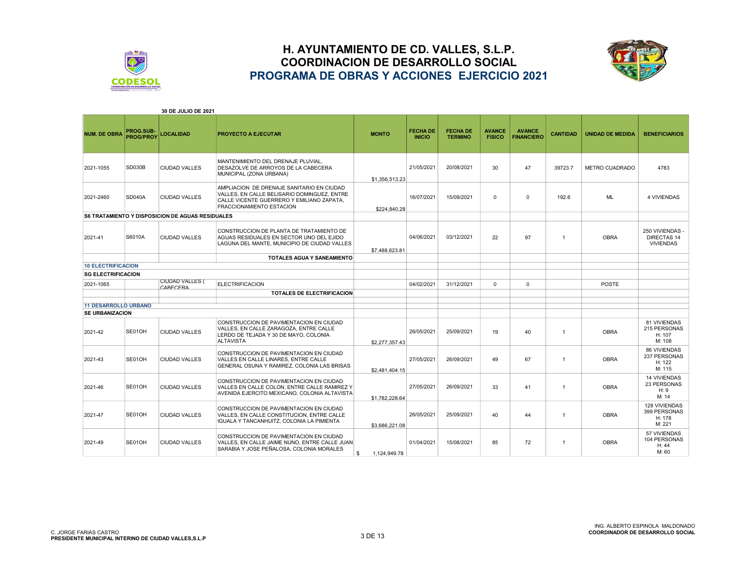



|                                                       |                                      | 30 DE JULIO DE 2021                                     |                                                                                                                                                                   |                    |                                  |                                   |                                |                                    |                 |                         |                                                         |
|-------------------------------------------------------|--------------------------------------|---------------------------------------------------------|-------------------------------------------------------------------------------------------------------------------------------------------------------------------|--------------------|----------------------------------|-----------------------------------|--------------------------------|------------------------------------|-----------------|-------------------------|---------------------------------------------------------|
| <b>NUM. DE OBRA</b>                                   | <b>PROG.SUB-</b><br><b>PROG/PROY</b> | <b>LOCALIDAD</b>                                        | <b>PROYECTO A EJECUTAR</b>                                                                                                                                        | <b>MONTO</b>       | <b>FECHA DE</b><br><b>INICIO</b> | <b>FECHA DE</b><br><b>TERMINO</b> | <b>AVANCE</b><br><b>FISICO</b> | <b>AVANCE</b><br><b>FINANCIERO</b> | <b>CANTIDAD</b> | <b>UNIDAD DE MEDIDA</b> | <b>BENEFICIARIOS</b>                                    |
| 2021-1055                                             | <b>SD030B</b>                        | <b>CIUDAD VALLES</b>                                    | MANTENIMIENTO DEL DRENAJE PLUVIAL,<br>DESAZOLVE DE ARROYOS DE LA CABECERA<br>MUNICIPAL (ZONA URBANA)                                                              | \$1,356,513.23     | 21/05/2021                       | 20/08/2021                        | 30                             | 47                                 | 39723.7         | <b>METRO CUADRADO</b>   | 4783                                                    |
| 2021-2460                                             | <b>SD040A</b>                        | <b>CIUDAD VALLES</b>                                    | AMPLIACION DE DRENAJE SANITARIO EN CIUDAD<br>VALLES, EN CALLE BELISARIO DOMINGUEZ, ENTRE<br>CALLE VICENTE GUERRERO Y EMILIANO ZAPATA.<br>FRACCIONAMIENTO ESTACION | \$224.840.28       | 16/07/2021                       | 15/09/2021                        | $\Omega$                       | $\Omega$                           | 192.6           | ML                      | <b>4 VIVIENDAS</b>                                      |
|                                                       |                                      | <b>S6 TRATAMIENTO Y DISPOSICION DE AGUAS RESIDUALES</b> |                                                                                                                                                                   |                    |                                  |                                   |                                |                                    |                 |                         |                                                         |
| 2021-41                                               | S6010A                               | <b>CIUDAD VALLES</b>                                    | CONSTRUCCION DE PLANTA DE TRATAMIENTO DE<br>AGUAS RESIDUALES EN SECTOR UNO DEL EJIDO<br>LAGUNA DEL MANTE, MUNICIPIO DE CIUDAD VALLES                              | \$7,488,623.81     | 04/06/2021                       | 03/12/2021                        | 22                             | 97                                 | $\overline{1}$  | <b>OBRA</b>             | 250 VIVIENDAS<br><b>DIRECTAS 14</b><br><b>VIVIENDAS</b> |
|                                                       |                                      |                                                         | TOTALES AGUA Y SANEAMIENTO                                                                                                                                        |                    |                                  |                                   |                                |                                    |                 |                         |                                                         |
| <b>10 ELECTRIFICACION</b>                             |                                      |                                                         |                                                                                                                                                                   |                    |                                  |                                   |                                |                                    |                 |                         |                                                         |
|                                                       | <b>SG ELECTRIFICACION</b>            |                                                         |                                                                                                                                                                   |                    |                                  |                                   |                                |                                    |                 |                         |                                                         |
| 2021-1065                                             |                                      | <b>CIUDAD VALLES (</b><br><b>CARECERA</b>               | <b>ELECTRIFICACION</b>                                                                                                                                            |                    | 04/02/2021                       | 31/12/2021                        | $\Omega$                       | 0                                  |                 | <b>POSTE</b>            |                                                         |
|                                                       |                                      |                                                         | <b>TOTALES DE ELECTRIFICACION</b>                                                                                                                                 |                    |                                  |                                   |                                |                                    |                 |                         |                                                         |
|                                                       |                                      |                                                         |                                                                                                                                                                   |                    |                                  |                                   |                                |                                    |                 |                         |                                                         |
| <b>11 DESARROLLO URBANO</b><br><b>SE URBANIZACION</b> |                                      |                                                         |                                                                                                                                                                   |                    |                                  |                                   |                                |                                    |                 |                         |                                                         |
|                                                       |                                      |                                                         | CONSTRUCCION DE PAVIMENTACION EN CIUDAD                                                                                                                           |                    |                                  |                                   |                                |                                    |                 |                         | 81 VIVIENDAS                                            |
| 2021-42                                               | SE01OH                               | <b>CIUDAD VALLES</b>                                    | VALLES. EN CALLE ZARAGOZA. ENTRE CALLE<br>LERDO DE TEJADA Y 30 DE MAYO, COLONIA<br><b>ALTAVISTA</b>                                                               | \$2,277,357.43     | 26/05/2021                       | 25/09/2021                        | 19                             | 40                                 | $\overline{1}$  | <b>OBRA</b>             | 215 PERSONAS<br>H: 107<br>M: 108                        |
| 2021-43                                               | SE01OH                               | <b>CIUDAD VALLES</b>                                    | CONSTRUCCION DE PAVIMENTACION EN CIUDAD<br>VALLES EN CALLE LINARES, ENTRE CALLE<br>GENERAL OSUNA Y RAMIREZ, COLONIA LAS BRISAS                                    | \$2,481,404.15     | 27/05/2021                       | 26/09/2021                        | 49                             | 67                                 | $\overline{1}$  | <b>OBRA</b>             | <b>86 VIVIENDAS</b><br>237 PERSONAS<br>H: 122<br>M: 115 |
| 2021-46                                               | SE01OH                               | <b>CIUDAD VALLES</b>                                    | CONSTRUCCION DE PAVIMENTACION EN CIUDAD<br>VALLES EN CALLE COLON. ENTRE CALLE RAMIREZ Y<br>AVENIDA EJERCITO MEXICANO, COLONIA ALTAVISTA                           | \$1,782,228.64     | 27/05/2021                       | 26/09/2021                        | 33                             | 41                                 | $\overline{1}$  | <b>OBRA</b>             | <b>14 VIVIENDAS</b><br>23 PERSONAS<br>H: 9<br>M: 14     |
| 2021-47                                               | SE01OH                               | <b>CIUDAD VALLES</b>                                    | CONSTRUCCION DE PAVIMENTACION EN CIUDAD<br>VALLES, EN CALLE CONSTITUCION, ENTRE CALLE<br>IGUALA Y TANCANHUITZ, COLONIA LA PIMIENTA                                | \$3.686.221.08     | 26/05/2021                       | 25/09/2021                        | 40                             | 44                                 | $\overline{1}$  | <b>OBRA</b>             | 128 VIVIENDAS<br>399 PERSONAS<br>H: 178<br>M: 221       |
| 2021-49                                               | SE01OH                               | <b>CIUDAD VALLES</b>                                    | CONSTRUCCION DE PAVIMENTACION EN CIUDAD<br>VALLES. EN CALLE JAIME NUNO. ENTRE CALLE JUAN<br>SARABIA Y JOSE PEÑALOSA, COLONIA MORALES                              | 1,124,949.78<br>\$ | 01/04/2021                       | 15/08/2021                        | 85                             | 72                                 | $\overline{1}$  | <b>OBRA</b>             | 57 VIVIENDAS<br>104 PERSONAS<br>H: 44<br>M: 60          |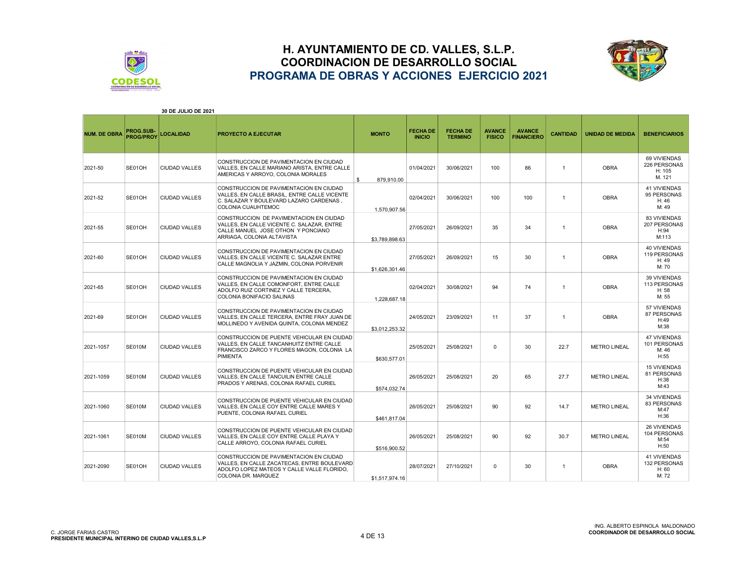



|                     |                               | <b>30 DE JULIO DE 2021</b> |                                                                                                                                                             |                  |                                  |                                   |                                |                                    |                 |                         |                                                      |
|---------------------|-------------------------------|----------------------------|-------------------------------------------------------------------------------------------------------------------------------------------------------------|------------------|----------------------------------|-----------------------------------|--------------------------------|------------------------------------|-----------------|-------------------------|------------------------------------------------------|
| <b>NUM. DE OBRA</b> | PROG.SUB-<br><b>PROG/PROY</b> | LOCALIDAD                  | <b>PROYECTO A EJECUTAR</b>                                                                                                                                  | <b>MONTO</b>     | <b>FECHA DE</b><br><b>INICIO</b> | <b>FECHA DE</b><br><b>TERMINO</b> | <b>AVANCE</b><br><b>FISICO</b> | <b>AVANCE</b><br><b>FINANCIERO</b> | <b>CANTIDAD</b> | <b>UNIDAD DE MEDIDA</b> | <b>BENEFICIARIOS</b>                                 |
| 2021-50             | SE01OH                        | <b>CIUDAD VALLES</b>       | CONSTRUCCION DE PAVIMENTACION EN CIUDAD<br>VALLES, EN CALLE MARIANO ARISTA, ENTRE CALLE<br>AMERICAS Y ARROYO, COLONIA MORALES                               | \$<br>879.910.00 | 01/04/2021                       | 30/06/2021                        | 100                            | 86                                 | $\mathbf{1}$    | <b>OBRA</b>             | 69 VIVIENDAS<br>226 PERSONAS<br>H: 105<br>M. 121     |
| 2021-52             | SE01OH                        | <b>CIUDAD VALLES</b>       | CONSTRUCCION DE PAVIMENTACION EN CIUDAD<br>VALLES. EN CALLE BRASIL. ENTRE CALLE VICENTE<br>C. SALAZAR Y BOULEVARD LAZARO CARDENAS.<br>COLONIA CUAUHTEMOC    | 1,570,907.56     | 02/04/2021                       | 30/06/2021                        | 100                            | 100                                | $\mathbf{1}$    | <b>OBRA</b>             | <b>41 VIVIENDAS</b><br>95 PERSONAS<br>H: 46<br>M: 49 |
| 2021-55             | SE01OH                        | <b>CIUDAD VALLES</b>       | CONSTRUCCION DE PAVIMENTACION EN CIUDAD<br>VALLES, EN CALLE VICENTE C. SALAZAR, ENTRE<br>CALLE MANUEL JOSE OTHON Y PONCIANO<br>ARRIAGA, COLONIA ALTAVISTA   | \$3,789,898.63   | 27/05/2021                       | 26/09/2021                        | 35                             | 34                                 | $\mathbf{1}$    | <b>OBRA</b>             | 83 VIVIENDAS<br>207 PERSONAS<br>H:94<br>M:113        |
| 2021-60             | SE01OH                        | <b>CIUDAD VALLES</b>       | CONSTRUCCION DE PAVIMENTACION EN CIUDAD<br>VALLES, EN CALLE VICENTE C. SALAZAR ENTRE<br>CALLE MAGNOLIA Y JAZMIN, COLONIA PORVENIR                           | \$1,626,301.46   | 27/05/2021                       | 26/09/2021                        | 15                             | 30                                 | $\mathbf{1}$    | <b>OBRA</b>             | 40 VIVIENDAS<br>119 PERSONAS<br>H: 49<br>M: 70       |
| 2021-65             | SE01OH                        | <b>CIUDAD VALLES</b>       | CONSTRUCCION DE PAVIMENTACION EN CIUDAD<br>VALLES, EN CALLE COMONFORT, ENTRE CALLE<br>ADOLFO RUIZ CORTINEZ Y CALLE TERCERA,<br>COLONIA BONIFACIO SALINAS    | 1,228,687.18     | 02/04/2021                       | 30/08/2021                        | 94                             | 74                                 | $\mathbf{1}$    | <b>OBRA</b>             | 39 VIVIENDAS<br>113 PERSONAS<br>H:58<br>M: 55        |
| 2021-69             | SE01OH                        | <b>CIUDAD VALLES</b>       | CONSTRUCCION DE PAVIMENTACION EN CIUDAD<br>VALLES. EN CALLE TERCERA. ENTRE FRAY JUAN DE<br>MOLLINEDO Y AVENIDA QUINTA, COLONIA MENDEZ                       | \$3,012,253.32   | 24/05/2021                       | 23/09/2021                        | 11                             | 37                                 | $\mathbf{1}$    | <b>OBRA</b>             | 57 VIVIENDAS<br>87 PERSONAS<br>H:49<br>M:38          |
| 2021-1057           | <b>SE010M</b>                 | <b>CIUDAD VALLES</b>       | CONSTRUCCION DE PUENTE VEHICULAR EN CIUDAD<br>VALLES, EN CALLE TANCANHUITZ ENTRE CALLE<br>FRANCISCO ZARCO Y FLORES MAGON, COLONIA LA<br><b>PIMIENTA</b>     | \$630,577.01     | 25/05/2021                       | 25/08/2021                        | $\mathbf 0$                    | 30                                 | 22.7            | <b>METRO LINEAL</b>     | <b>47 VIVIENDAS</b><br>101 PERSONAS<br>M: 46<br>H:55 |
| 2021-1059           | <b>SE010M</b>                 | <b>CIUDAD VALLES</b>       | CONSTRUCCION DE PUENTE VEHICULAR EN CIUDAD<br>VALLES. EN CALLE TANCUILIN ENTRE CALLE<br>PRADOS Y ARENAS, COLONIA RAFAEL CURIEL                              | \$574.032.74     | 26/05/2021                       | 25/08/2021                        | 20                             | 65                                 | 27.7            | <b>METRO LINEAL</b>     | <b>15 VIVIENDAS</b><br>81 PERSONAS<br>H:38<br>M:43   |
| 2021-1060           | <b>SE010M</b>                 | CIUDAD VALLES              | CONSTRUCCION DE PUENTE VEHICULAR EN CIUDAD<br>VALLES. EN CALLE COY ENTRE CALLE MARES Y<br>PUENTE, COLONIA RAFAEL CURIEL                                     | \$461,817.04     | 26/05/2021                       | 25/08/2021                        | 90                             | 92                                 | 14.7            | <b>METRO LINEAL</b>     | <b>34 VIVIENDAS</b><br>83 PERSONAS<br>M:47<br>H:36   |
| 2021-1061           | <b>SE010M</b>                 | <b>CIUDAD VALLES</b>       | CONSTRUCCION DE PUENTE VEHICULAR EN CIUDAD<br>VALLES. EN CALLE COY ENTRE CALLE PLAYA Y<br>CALLE ARROYO, COLONIA RAFAEL CURIEL                               | \$516,900.52     | 26/05/2021                       | 25/08/2021                        | 90                             | 92                                 | 30.7            | <b>METRO LINEAL</b>     | 26 VIVIENDAS<br>104 PERSONAS<br>M:54<br>H:50         |
| 2021-2090           | SE01OH                        | CIUDAD VALLES              | CONSTRUCCION DE PAVIMENTACION EN CIUDAD<br>VALLES, EN CALLE ZACATECAS, ENTRE BOULEVARD<br>ADOLFO LOPEZ MATEOS Y CALLE VALLE FLORIDO,<br>COLONIA DR. MARQUEZ | \$1,517,974.16   | 28/07/2021                       | 27/10/2021                        | $\Omega$                       | 30                                 | $\mathbf{1}$    | <b>OBRA</b>             | 41 VIVIENDAS<br>132 PERSONAS<br>H: 60<br>M: 72       |

#### 30 DE JULIO DE 2021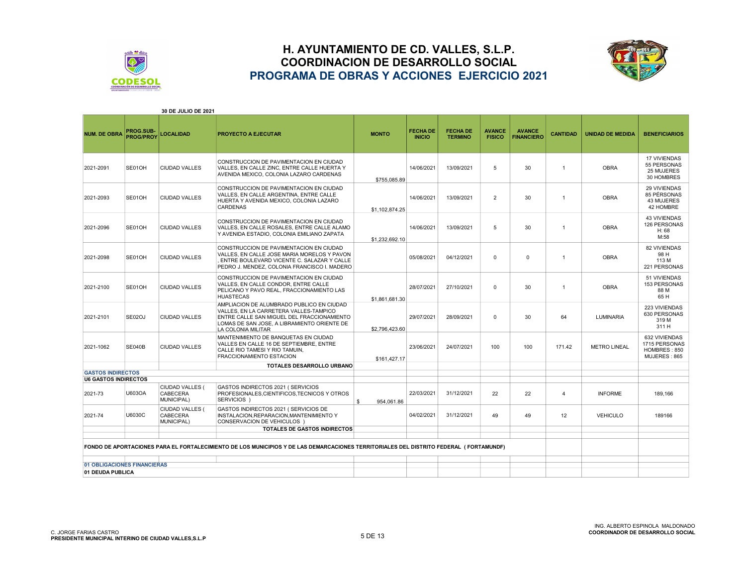



|                                                         |                                      | 30 DE JULIO DE 2021                       |                                                                                                                                                                                                        |                  |                                  |                                   |                                |                                    |                 |                         |                                                                |
|---------------------------------------------------------|--------------------------------------|-------------------------------------------|--------------------------------------------------------------------------------------------------------------------------------------------------------------------------------------------------------|------------------|----------------------------------|-----------------------------------|--------------------------------|------------------------------------|-----------------|-------------------------|----------------------------------------------------------------|
| <b>NUM. DE OBRA</b>                                     | <b>PROG.SUB-</b><br><b>PROG/PROY</b> | <b>LOCALIDAD</b>                          | PROYECTO A EJECUTAR                                                                                                                                                                                    | <b>MONTO</b>     | <b>FECHA DE</b><br><b>INICIO</b> | <b>FECHA DE</b><br><b>TERMINO</b> | <b>AVANCE</b><br><b>FISICO</b> | <b>AVANCE</b><br><b>FINANCIERO</b> | <b>CANTIDAD</b> | <b>UNIDAD DE MEDIDA</b> | <b>BENEFICIARIOS</b>                                           |
| 2021-2091                                               | SE01OH                               | <b>CIUDAD VALLES</b>                      | CONSTRUCCION DE PAVIMENTACION EN CIUDAD<br>VALLES, EN CALLE ZINC, ENTRE CALLE HUERTA Y<br>AVENIDA MEXICO, COLONIA LAZARO CARDENAS                                                                      | \$755,085.89     | 14/06/2021                       | 13/09/2021                        | 5                              | 30                                 | $\overline{1}$  | <b>OBRA</b>             | 17 VIVIENDAS<br>55 PERSONAS<br>25 MUJERES<br>30 HOMBRES        |
| 2021-2093                                               | SE01OH                               | <b>CIUDAD VALLES</b>                      | CONSTRUCCION DE PAVIMENTACION EN CIUDAD<br>VALLES, EN CALLE ARGENTINA, ENTRE CALLE<br>HUERTA Y AVENIDA MEXICO, COLONIA LAZARO<br><b>CARDENAS</b>                                                       | \$1,102,874.25   | 14/06/2021                       | 13/09/2021                        | $\overline{2}$                 | 30                                 | $\overline{1}$  | <b>OBRA</b>             | 29 VIVIENDAS<br>85 PÉRSONAS<br>43 MUJERES<br>42 HOMBRE         |
| 2021-2096                                               | SE01OH                               | <b>CIUDAD VALLES</b>                      | CONSTRUCCION DE PAVIMENTACION EN CIUDAD<br>VALLES. EN CALLE ROSALES. ENTRE CALLE ALAMO<br>Y AVENIDA ESTADIO, COLONIA EMILIANO ZAPATA                                                                   | \$1,232,692.10   | 14/06/2021                       | 13/09/2021                        | 5                              | 30                                 | $\overline{1}$  | <b>OBRA</b>             | <b>43 VIVIENDAS</b><br>126 PERSONAS<br>H:68<br>M:58            |
| 2021-2098                                               | SE01OH                               | <b>CIUDAD VALLES</b>                      | CONSTRUCCION DE PAVIMENTACION EN CIUDAD<br>VALLES. EN CALLE JOSE MARIA MORELOS Y PAVON<br>ENTRE BOULEVARD VICENTE C. SALAZAR Y CALLE<br>PEDRO J. MENDEZ, COLONIA FRANCISCO I, MADERO                   |                  | 05/08/2021                       | 04/12/2021                        | 0                              | $\Omega$                           | $\mathbf{1}$    | <b>OBRA</b>             | <b>82 VIVIENDAS</b><br>98 H<br>113 M<br>221 PERSONAS           |
| 2021-2100                                               | SE01OH                               | <b>CIUDAD VALLES</b>                      | CONSTRUCCION DE PAVIMENTACION EN CIUDAD<br>VALLES. EN CALLE CONDOR. ENTRE CALLE<br>PELICANO Y PAVO REAL, FRACCIONAMIENTO LAS<br><b>HUASTECAS</b>                                                       | \$1,861,681.30   | 28/07/2021                       | 27/10/2021                        | 0                              | 30                                 | $\overline{1}$  | <b>OBRA</b>             | 51 VIVIENDAS<br>153 PERSONAS<br>88 M<br>65 H                   |
| 2021-2101                                               | SE02OJ                               | <b>CIUDAD VALLES</b>                      | AMPLIACION DE ALUMBRADO PUBLICO EN CIUDAD<br>VALLES. EN LA CARRETERA VALLES-TAMPICO<br>ENTRE CALLE SAN MIGUEL DEL FRACCIONAMIENTO<br>LOMAS DE SAN JOSE. A LIBRAMIENTO ORIENTE DE<br>LA COLONIA MILITAR | \$2,796,423.60   | 29/07/2021                       | 28/09/2021                        | 0                              | 30                                 | 64              | <b>LUMINARIA</b>        | 223 VIVIENDAS<br>630 PERSONAS<br>319 M<br>311 H                |
| 2021-1062                                               | <b>SE040B</b>                        | <b>CIUDAD VALLES</b>                      | MANTENIMIENTO DE BANQUETAS EN CIUDAD<br>VALLES EN CALLE 16 DE SEPTIEMBRE, ENTRE<br>CALLE RIO TAMESI Y RIO TAMUIN,<br>FRACCIONAMIENTO ESTACION                                                          | \$161.427.17     | 23/06/2021                       | 24/07/2021                        | 100                            | 100                                | 171.42          | <b>METRO LINEAL</b>     | 632 VIVIENDAS<br>1715 PERSONAS<br>HOMBRES: 850<br>MUJERES: 865 |
|                                                         |                                      |                                           | TOTALES DESARROLLO URBANO                                                                                                                                                                              |                  |                                  |                                   |                                |                                    |                 |                         |                                                                |
| <b>GASTOS INDIRECTOS</b><br><b>U6 GASTOS INDIRECTOS</b> |                                      |                                           |                                                                                                                                                                                                        |                  |                                  |                                   |                                |                                    |                 |                         |                                                                |
| 2021-73                                                 | U603OA                               | CIUDAD VALLES (<br>CABECERA<br>MUNICIPAL) | GASTOS INDIRECTOS 2021 (SERVICIOS<br>PROFESIONALES, CIENTIFICOS, TECNICOS Y OTROS<br>SERVICIOS )                                                                                                       | \$<br>954,061.86 | 22/03/2021                       | 31/12/2021                        | 22                             | 22                                 | 4               | <b>INFORME</b>          | 189,166                                                        |
| 2021-74                                                 | U6030C                               | CIUDAD VALLES (<br>CABECERA<br>MUNICIPAL) | GASTOS INDIRECTOS 2021 ( SERVICIOS DE<br>INSTALACION, REPARACION, MANTENIMIENTO Y<br>CONSERVACION DE VEHICULOS )                                                                                       |                  | 04/02/2021                       | 31/12/2021                        | 49                             | 49                                 | 12              | <b>VEHICULO</b>         | 189166                                                         |
|                                                         |                                      |                                           | TOTALES DE GASTOS INDIRECTOS                                                                                                                                                                           |                  |                                  |                                   |                                |                                    |                 |                         |                                                                |
|                                                         |                                      |                                           | FONDO DE APORTACIONES PARA EL FORTALECIMIENTO DE LOS MUNICIPIOS Y DE LAS DEMARCACIONES TERRITORIALES DEL DISTRITO FEDERAL (FORTAMUNDF)                                                                 |                  |                                  |                                   |                                |                                    |                 |                         |                                                                |
|                                                         |                                      |                                           |                                                                                                                                                                                                        |                  |                                  |                                   |                                |                                    |                 |                         |                                                                |
| 01 OBLIGACIONES FINANCIERAS                             |                                      |                                           |                                                                                                                                                                                                        |                  |                                  |                                   |                                |                                    |                 |                         |                                                                |
| 01 DEUDA PUBLICA                                        |                                      |                                           |                                                                                                                                                                                                        |                  |                                  |                                   |                                |                                    |                 |                         |                                                                |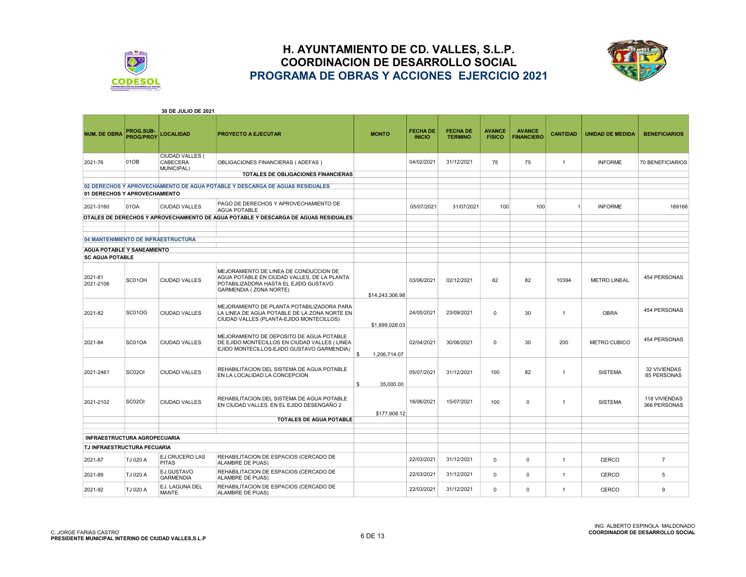



|                                     |                               | <b>30 DE JULIO DE 2021</b>                |                                                                                                                                                           |                    |                                  |                                   |                                |                                    |                 |                         |                                      |
|-------------------------------------|-------------------------------|-------------------------------------------|-----------------------------------------------------------------------------------------------------------------------------------------------------------|--------------------|----------------------------------|-----------------------------------|--------------------------------|------------------------------------|-----------------|-------------------------|--------------------------------------|
| <b>NUM. DE OBRA</b>                 | PROG.SUB-<br><b>PROG/PROY</b> | <b>LOCALIDAD</b>                          | <b>PROYECTO A EJECUTAR</b>                                                                                                                                | <b>MONTO</b>       | <b>FECHA DE</b><br><b>INICIO</b> | <b>FECHA DE</b><br><b>TERMINO</b> | <b>AVANCE</b><br><b>FISICO</b> | <b>AVANCE</b><br><b>FINANCIERO</b> | <b>CANTIDAD</b> | <b>UNIDAD DE MEDIDA</b> | <b>BENEFICIARIOS</b>                 |
| 2021-76                             | 01OB                          | CIUDAD VALLES (<br>CABECERA<br>MUNICIPAL) | OBLIGACIONES FINANCIERAS (ADEFAS)                                                                                                                         |                    | 04/02/2021                       | 31/12/2021                        | 75                             | 75                                 | $\overline{1}$  | <b>INFORME</b>          | 70 BENEFICIARIOS                     |
|                                     |                               |                                           | TOTALES DE OBLIGACIONES FINANCIERAS                                                                                                                       |                    |                                  |                                   |                                |                                    |                 |                         |                                      |
|                                     |                               |                                           | 02 DERECHOS Y APROVECHAMIENTO DE AGUA POTABLE Y DESCARGA DE AGUAS RESIDUALES                                                                              |                    |                                  |                                   |                                |                                    |                 |                         |                                      |
| 01 DERECHOS Y APROVECHAMIENTO       |                               |                                           |                                                                                                                                                           |                    |                                  |                                   |                                |                                    |                 |                         |                                      |
| 2021-3160                           | 01OA                          | <b>CIUDAD VALLES</b>                      | PAGO DE DERECHOS Y APROVECHAMIENTO DE<br><b>AGUA POTABLE</b>                                                                                              |                    | 05/07/2021                       | 31/07/2021                        | 100                            | 100                                | $\mathbf{1}$    | <b>INFORME</b>          | 189166                               |
|                                     |                               |                                           | OTALES DE DERECHOS Y APROVECHAMIENTO DE AGUA POTABLE Y DESCARGA DE AGUAS RESIDUALES                                                                       |                    |                                  |                                   |                                |                                    |                 |                         |                                      |
|                                     |                               |                                           |                                                                                                                                                           |                    |                                  |                                   |                                |                                    |                 |                         |                                      |
| 04 MANTENIMIENTO DE INFRAESTRUCTURA |                               |                                           |                                                                                                                                                           |                    |                                  |                                   |                                |                                    |                 |                         |                                      |
| <b>AGUA POTABLE Y SANEAMIENTO</b>   |                               |                                           |                                                                                                                                                           |                    |                                  |                                   |                                |                                    |                 |                         |                                      |
| <b>SC AGUA POTABLE</b>              |                               |                                           |                                                                                                                                                           |                    |                                  |                                   |                                |                                    |                 |                         |                                      |
| 2021-81<br>2021-2106                | SC01OH                        | <b>CIUDAD VALLES</b>                      | MEJORAMIENTO DE LINEA DE CONDUCCION DE<br>AGUA POTABLE EN CIUDAD VALLES, DE LA PLANTA<br>POTABILIZADORA HASTA EL EJIDO GUSTAVO<br>GARMENDIA ( ZONA NORTE) | \$14,243,306.98    | 03/06/2021                       | 02/12/2021                        | 62                             | 82                                 | 10394           | <b>METRO LINEAL</b>     | 454 PERSONAS                         |
| 2021-82                             | <b>SC01OG</b>                 | <b>CIUDAD VALLES</b>                      | MEJORAMIENTO DE PLANTA POTABILIZADORA PARA<br>LA LINEA DE AGUA POTABLE DE LA ZONA NORTE EN<br>CIUDAD VALLES (PLANTA-EJIDO MONTECILLOS)                    | \$1,899,028.03     | 24/05/2021                       | 23/09/2021                        | 0                              | 30                                 | $\overline{1}$  | <b>OBRA</b>             | 454 PERSONAS                         |
| 2021-84                             | SC01OA                        | <b>CIUDAD VALLES</b>                      | MEJORAMIENTO DE DEPOSITO DE AGUA POTABLE<br>DE EJIDO MONTECILLOS EN CIUDAD VALLES (LINEA<br>EJIDO MONTECILLOS-EJIDO GUSTAVO GARMENDIA)                    | \$<br>1,206,714.07 | 02/04/2021                       | 30/06/2021                        | 0                              | 30                                 | 200             | <b>METRO CUBICO</b>     | 454 PERSONAS                         |
| 2021-2461                           | <b>SC02OI</b>                 | <b>CIUDAD VALLES</b>                      | REHABILITACION DEL SISTEMA DE AGUA POTABLE<br>EN LA LOCALIDAD LA CONCEPCION                                                                               | 35,000.00<br>\$    | 05/07/2021                       | 31/12/2021                        | 100                            | 82                                 | $\overline{1}$  | <b>SISTEMA</b>          | 32 VIVIENDAS<br>85 PERSONAS          |
| 2021-2102                           | SC02OI                        | <b>CIUDAD VALLES</b>                      | REHABILITACION DEL SISTEMA DE AGUA POTABLE<br>EN CIUDAD VALLES, EN EL EJIDO DESENGAÑO 2                                                                   | \$177,608.12       | 16/06/2021                       | 15/07/2021                        | 100                            | $\Omega$                           | $\overline{1}$  | <b>SISTEMA</b>          | <b>118 VIVIENDAS</b><br>366 PERSONAS |
|                                     |                               |                                           | <b>TOTALES DE AGUA POTABLE</b>                                                                                                                            |                    |                                  |                                   |                                |                                    |                 |                         |                                      |
|                                     |                               |                                           |                                                                                                                                                           |                    |                                  |                                   |                                |                                    |                 |                         |                                      |
| <b>INFRAESTRUCTURA AGROPECUARIA</b> |                               |                                           |                                                                                                                                                           |                    |                                  |                                   |                                |                                    |                 |                         |                                      |
| TJ INFRAESTRUCTURA PECUARIA         |                               |                                           |                                                                                                                                                           |                    |                                  |                                   |                                |                                    |                 |                         |                                      |
| 2021-87                             | TJ 020 A                      | <b>EJ.CRUCERO LAS</b><br><b>PITAS</b>     | REHABILITACION DE ESPACIOS (CERCADO DE<br>ALAMBRE DE PUAS)                                                                                                |                    | 22/03/2021                       | 31/12/2021                        | 0                              | $\Omega$                           | $\overline{1}$  | CERCO                   | $\overline{7}$                       |
| 2021-89                             | TJ 020 A                      | EJ.GUSTAVO<br><b>GARMENDIA</b>            | REHABILITACION DE ESPACIOS (CERCADO DE<br>ALAMBRE DE PUAS)                                                                                                |                    | 22/03/2021                       | 31/12/2021                        | $\mathbf 0$                    | 0                                  | $\overline{1}$  | <b>CERCO</b>            | 5                                    |
| 2021-92                             | TJ 020 A                      | EJ. LAGUNA DEL<br>MANTE                   | REHABILITACION DE ESPACIOS (CERCADO DE<br>ALAMBRE DE PUAS)                                                                                                |                    | 22/03/2021                       | 31/12/2021                        | 0                              | $\Omega$                           | $\overline{1}$  | CERCO                   | 9                                    |

#### 30 DE JULIO DE 2021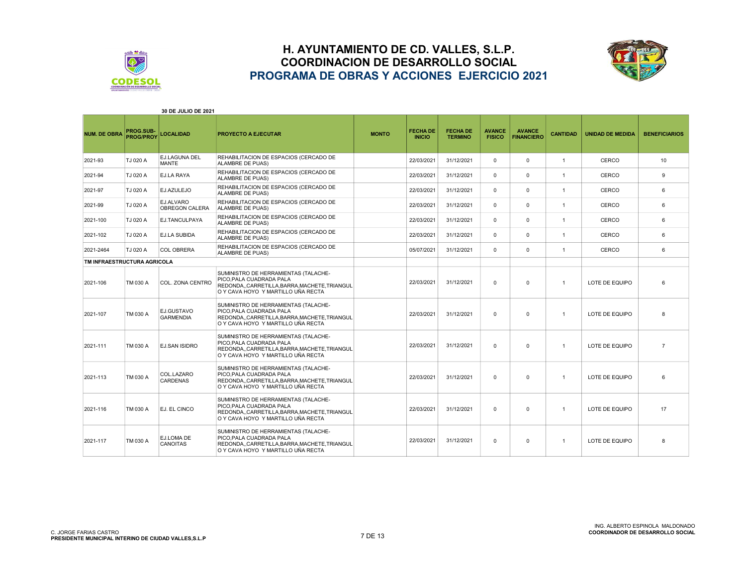



|                             |                               | 30 DE JULIO DE 2021            |                                                                                                                                                     |              |                                  |                                   |                                |                                    |                 |                         |                       |
|-----------------------------|-------------------------------|--------------------------------|-----------------------------------------------------------------------------------------------------------------------------------------------------|--------------|----------------------------------|-----------------------------------|--------------------------------|------------------------------------|-----------------|-------------------------|-----------------------|
| <b>NUM. DE OBRA</b>         | PROG.SUB-<br><b>PROG/PROY</b> | <b>LOCALIDAD</b>               | <b>PROYECTO A EJECUTAR</b>                                                                                                                          | <b>MONTO</b> | <b>FECHA DE</b><br><b>INICIO</b> | <b>FECHA DE</b><br><b>TERMINO</b> | <b>AVANCE</b><br><b>FISICO</b> | <b>AVANCE</b><br><b>FINANCIERO</b> | <b>CANTIDAD</b> | <b>UNIDAD DE MEDIDA</b> | <b>BENEFICIARIOS</b>  |
| 2021-93                     | TJ 020 A                      | EJ.LAGUNA DEL<br>MANTE         | REHABILITACION DE ESPACIOS (CERCADO DE<br><b>ALAMBRE DE PUAS)</b>                                                                                   |              | 22/03/2021                       | 31/12/2021                        | $\Omega$                       | $\mathbf 0$                        | $\overline{1}$  | CERCO                   | 10                    |
| 2021-94                     | TJ 020 A                      | EJ.LA RAYA                     | REHABILITACION DE ESPACIOS (CERCADO DE<br><b>ALAMBRE DE PUAS)</b>                                                                                   |              | 22/03/2021                       | 31/12/2021                        | $\Omega$                       | $\mathbf 0$                        | $\overline{1}$  | CERCO                   | 9                     |
| 2021-97                     | TJ 020 A                      | EJ.AZULEJO                     | REHABILITACION DE ESPACIOS (CERCADO DE<br>ALAMBRE DE PUAS)                                                                                          |              | 22/03/2021                       | 31/12/2021                        | $\Omega$                       | $\Omega$                           | $\mathbf{1}$    | CERCO                   | 6                     |
| 2021-99                     | TJ 020 A                      | EJ.ALVARO<br>OBREGON CALERA    | REHABILITACION DE ESPACIOS (CERCADO DE<br>ALAMBRE DE PUAS)                                                                                          |              | 22/03/2021                       | 31/12/2021                        | $\Omega$                       | $\Omega$                           | $\overline{1}$  | <b>CERCO</b>            | 6                     |
| 2021-100                    | TJ 020 A                      | EJ.TANCULPAYA                  | REHABILITACION DE ESPACIOS (CERCADO DE<br><b>ALAMBRE DE PUAS)</b>                                                                                   |              | 22/03/2021                       | 31/12/2021                        | $\Omega$                       | $\Omega$                           | $\mathbf{1}$    | CERCO                   | 6                     |
| 2021-102                    | TJ 020 A                      | EJ.LA SUBIDA                   | REHABILITACION DE ESPACIOS (CERCADO DE<br><b>ALAMBRE DE PUAS)</b>                                                                                   |              | 22/03/2021                       | 31/12/2021                        | $\Omega$                       | $\Omega$                           | $\overline{1}$  | CERCO                   | 6                     |
| 2021-2464                   | TJ 020 A                      | <b>COL OBRERA</b>              | REHABILITACION DE ESPACIOS (CERCADO DE<br><b>ALAMBRE DE PUAS)</b>                                                                                   |              | 05/07/2021                       | 31/12/2021                        | $\Omega$                       | $\Omega$                           | $\overline{1}$  | CERCO                   | 6                     |
| TM INFRAESTRUCTURA AGRICOLA |                               |                                |                                                                                                                                                     |              |                                  |                                   |                                |                                    |                 |                         |                       |
| 2021-106                    | TM 030 A                      | COL. ZONA CENTRO               | SUMINISTRO DE HERRAMIENTAS (TALACHE-<br>PICO.PALA CUADRADA PALA<br>REDONDA,,CARRETILLA,BARRA,MACHETE,TRIANGUL<br>O Y CAVA HOYO Y MARTILLO UÑA RECTA |              | 22/03/2021                       | 31/12/2021                        | 0                              | $\mathbf 0$                        | $\overline{1}$  | LOTE DE EQUIPO          | 6                     |
| 2021-107                    | TM 030 A                      | EJ.GUSTAVO<br><b>GARMENDIA</b> | SUMINISTRO DE HERRAMIENTAS (TALACHE-<br>PICO.PALA CUADRADA PALA<br>REDONDA,,CARRETILLA,BARRA,MACHETE,TRIANGUL<br>O Y CAVA HOYO Y MARTILLO UÑA RECTA |              | 22/03/2021                       | 31/12/2021                        | $\Omega$                       | $\Omega$                           | $\mathbf{1}$    | LOTE DE EQUIPO          | 8                     |
| 2021-111                    | TM 030 A                      | <b>EJ.SAN ISIDRO</b>           | SUMINISTRO DE HERRAMIENTAS (TALACHE-<br>PICO.PALA CUADRADA PALA<br>REDONDA,,CARRETILLA,BARRA,MACHETE,TRIANGUL<br>O Y CAVA HOYO Y MARTILLO UÑA RECTA |              | 22/03/2021                       | 31/12/2021                        | $\Omega$                       | $\Omega$                           | $\overline{1}$  | LOTE DE EQUIPO          | $\overline{7}$        |
| 2021-113                    | TM 030 A                      | COL.LAZARO<br><b>CARDENAS</b>  | SUMINISTRO DE HERRAMIENTAS (TALACHE-<br>PICO.PALA CUADRADA PALA<br>REDONDACARRETILLA.BARRA.MACHETE.TRIANGUL<br>O Y CAVA HOYO Y MARTILLO UÑA RECTA   |              | 22/03/2021                       | 31/12/2021                        | $\Omega$                       | $\Omega$                           | $\overline{1}$  | LOTE DE EQUIPO          | $\boldsymbol{\kappa}$ |
| 2021-116                    | TM 030 A                      | EJ. EL CINCO                   | SUMINISTRO DE HERRAMIENTAS (TALACHE-<br>PICO.PALA CUADRADA PALA<br>REDONDA,,CARRETILLA,BARRA,MACHETE,TRIANGUL<br>O Y CAVA HOYO Y MARTILLO UÑA RECTA |              | 22/03/2021                       | 31/12/2021                        | $\Omega$                       | $\Omega$                           | $\overline{1}$  | LOTE DE EQUIPO          | 17                    |
| 2021-117                    | TM 030 A                      | EJ.LOMA DE<br><b>CANOITAS</b>  | SUMINISTRO DE HERRAMIENTAS (TALACHE-<br>PICO.PALA CUADRADA PALA<br>REDONDA,,CARRETILLA,BARRA,MACHETE,TRIANGUL<br>O Y CAVA HOYO Y MARTILLO UÑA RECTA |              | 22/03/2021                       | 31/12/2021                        | $\Omega$                       | $\Omega$                           | $\overline{1}$  | LOTE DE EQUIPO          | 8                     |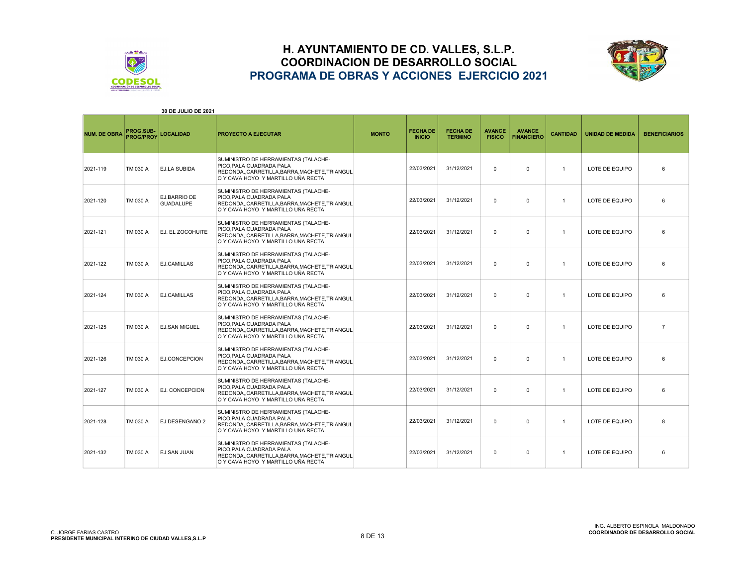



| 30 DE JULIO DE 2021 |                               |                                  |                                                                                                                                                      |              |                                  |                                   |                                |                                    |                 |                         |                      |
|---------------------|-------------------------------|----------------------------------|------------------------------------------------------------------------------------------------------------------------------------------------------|--------------|----------------------------------|-----------------------------------|--------------------------------|------------------------------------|-----------------|-------------------------|----------------------|
| <b>NUM. DE OBRA</b> | PROG.SUB-<br><b>PROG/PROY</b> | <b>LOCALIDAD</b>                 | PROYECTO A EJECUTAR                                                                                                                                  | <b>MONTO</b> | <b>FECHA DE</b><br><b>INICIO</b> | <b>FECHA DE</b><br><b>TERMINO</b> | <b>AVANCE</b><br><b>FISICO</b> | <b>AVANCE</b><br><b>FINANCIERO</b> | <b>CANTIDAD</b> | <b>UNIDAD DE MEDIDA</b> | <b>BENEFICIARIOS</b> |
| 2021-119            | TM 030 A                      | EJ.LA SUBIDA                     | SUMINISTRO DE HERRAMIENTAS (TALACHE-<br>PICO, PALA CUADRADA PALA<br>REDONDA,,CARRETILLA,BARRA,MACHETE,TRIANGUL<br>O Y CAVA HOYO Y MARTILLO UÑA RECTA |              | 22/03/2021                       | 31/12/2021                        | $\Omega$                       | $\Omega$                           | $\overline{1}$  | LOTE DE EQUIPO          | 6                    |
| 2021-120            | TM 030 A                      | EJ.BARRIO DE<br><b>GUADALUPE</b> | SUMINISTRO DE HERRAMIENTAS (TALACHE-<br>PICO, PALA CUADRADA PALA<br>REDONDA,,CARRETILLA,BARRA,MACHETE,TRIANGUL<br>O Y CAVA HOYO Y MARTILLO UÑA RECTA |              | 22/03/2021                       | 31/12/2021                        | $\Omega$                       | $\Omega$                           | $\overline{1}$  | LOTE DE EQUIPO          | 6                    |
| 2021-121            | TM 030 A                      | EJ. EL ZOCOHUITE                 | SUMINISTRO DE HERRAMIENTAS (TALACHE-<br>PICO, PALA CUADRADA PALA<br>REDONDACARRETILLA.BARRA.MACHETE.TRIANGUL<br>O Y CAVA HOYO Y MARTILLO UÑA RECTA   |              | 22/03/2021                       | 31/12/2021                        | $\Omega$                       | $\Omega$                           | $\mathbf{1}$    | LOTE DE EQUIPO          | 6                    |
| 2021-122            | TM 030 A                      | <b>EJ.CAMILLAS</b>               | SUMINISTRO DE HERRAMIENTAS (TALACHE-<br>PICO.PALA CUADRADA PALA<br>REDONDA,,CARRETILLA,BARRA,MACHETE,TRIANGUL<br>O Y CAVA HOYO Y MARTILLO UÑA RECTA  |              | 22/03/2021                       | 31/12/2021                        | $\mathbf{0}$                   | $\mathbf 0$                        | $\overline{1}$  | LOTE DE EQUIPO          | 6                    |
| 2021-124            | TM 030 A                      | <b>EJ.CAMILLAS</b>               | SUMINISTRO DE HERRAMIENTAS (TALACHE-<br>PICO.PALA CUADRADA PALA<br>REDONDA,,CARRETILLA,BARRA,MACHETE,TRIANGUL<br>O Y CAVA HOYO Y MARTILLO UÑA RECTA  |              | 22/03/2021                       | 31/12/2021                        | $\Omega$                       | $\mathbf 0$                        | $\overline{1}$  | LOTE DE EQUIPO          | 6                    |
| 2021-125            | TM 030 A                      | <b>EJ.SAN MIGUEL</b>             | SUMINISTRO DE HERRAMIENTAS (TALACHE-<br>PICO.PALA CUADRADA PALA<br>REDONDA,,CARRETILLA,BARRA,MACHETE,TRIANGUL<br>O Y CAVA HOYO Y MARTILLO UÑA RECTA  |              | 22/03/2021                       | 31/12/2021                        | $\Omega$                       | $\mathbf 0$                        | $\mathbf{1}$    | LOTE DE EQUIPO          | $\overline{7}$       |
| 2021-126            | TM 030 A                      | EJ.CONCEPCION                    | SUMINISTRO DE HERRAMIENTAS (TALACHE-<br>PICO.PALA CUADRADA PALA<br>REDONDA,,CARRETILLA,BARRA,MACHETE,TRIANGUL<br>O Y CAVA HOYO Y MARTILLO UÑA RECTA  |              | 22/03/2021                       | 31/12/2021                        | $\mathbf{0}$                   | $\mathbf 0$                        | $\overline{1}$  | LOTE DE EQUIPO          | 6                    |
| 2021-127            | TM 030 A                      | EJ. CONCEPCION                   | SUMINISTRO DE HERRAMIENTAS (TALACHE-<br>PICO, PALA CUADRADA PALA<br>REDONDA,,CARRETILLA,BARRA,MACHETE,TRIANGUL<br>O Y CAVA HOYO Y MARTILLO UÑA RECTA |              | 22/03/2021                       | 31/12/2021                        | $\Omega$                       | $\mathbf 0$                        | $\overline{1}$  | LOTE DE EQUIPO          | 6                    |
| 2021-128            | TM 030 A                      | EJ.DESENGAÑO 2                   | SUMINISTRO DE HERRAMIENTAS (TALACHE-<br>PICO.PALA CUADRADA PALA<br>REDONDA,,CARRETILLA,BARRA,MACHETE,TRIANGUL<br>O Y CAVA HOYO Y MARTILLO UÑA RECTA  |              | 22/03/2021                       | 31/12/2021                        | $\mathbf 0$                    | $\mathbf 0$                        | $\overline{1}$  | LOTE DE EQUIPO          | 8                    |
| 2021-132            | TM 030 A                      | <b>EJ.SAN JUAN</b>               | SUMINISTRO DE HERRAMIENTAS (TALACHE-<br>PICO, PALA CUADRADA PALA<br>REDONDA,,CARRETILLA,BARRA,MACHETE,TRIANGUL<br>O Y CAVA HOYO Y MARTILLO UÑA RECTA |              | 22/03/2021                       | 31/12/2021                        | $\Omega$                       | $\mathbf 0$                        | $\overline{1}$  | LOTE DE EQUIPO          | 6                    |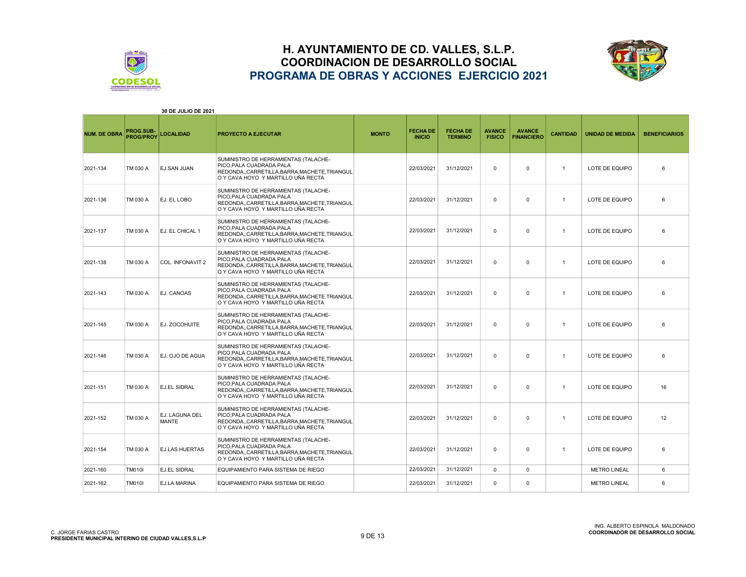



|                     |                               | <b>30 DE JULIO DE 2021</b>     |                                                                                                                                                          |              |                                  |                                   |                                |                                    |                 |                         |                      |
|---------------------|-------------------------------|--------------------------------|----------------------------------------------------------------------------------------------------------------------------------------------------------|--------------|----------------------------------|-----------------------------------|--------------------------------|------------------------------------|-----------------|-------------------------|----------------------|
| <b>NUM. DE OBRA</b> | PROG.SUB-<br><b>PROG/PROY</b> | <b>LOCALIDAD</b>               | <b>PROYECTO A EJECUTAR</b>                                                                                                                               | <b>MONTO</b> | <b>FECHA DE</b><br><b>INICIO</b> | <b>FECHA DE</b><br><b>TERMINO</b> | <b>AVANCE</b><br><b>FISICO</b> | <b>AVANCE</b><br><b>FINANCIERO</b> | <b>CANTIDAD</b> | <b>UNIDAD DE MEDIDA</b> | <b>BENEFICIARIOS</b> |
| 2021-134            | TM 030 A                      | <b>EJ.SAN JUAN</b>             | SUMINISTRO DE HERRAMIENTAS (TALACHE-<br>PICO, PALA CUADRADA PALA<br>REDONDA,,CARRETILLA,BARRA,MACHETE,TRIANGUL<br>O Y CAVA HOYO Y MARTILLO UÑA RECTA     |              | 22/03/2021                       | 31/12/2021                        | $\mathbf 0$                    | $\mathbf 0$                        | $\mathbf{1}$    | LOTE DE EQUIPO          | 6                    |
| 2021-136            | TM 030 A                      | EJ. EL LOBO                    | SUMINISTRO DE HERRAMIENTAS (TALACHE-<br>PICO.PALA CUADRADA PALA<br>REDONDA,,CARRETILLA,BARRA,MACHETE,TRIANGUL<br>O Y CAVA HOYO Y MARTILLO UÑA RECTA      |              | 22/03/2021                       | 31/12/2021                        | 0                              | 0                                  | $\mathbf{1}$    | LOTE DE EQUIPO          | 6                    |
| 2021-137            | TM 030 A                      | EJ. EL CHICAL 1                | SUMINISTRO DE HERRAMIENTAS (TALACHE-<br>PICO, PALA CUADRADA PALA<br>REDONDA,,CARRETILLA,BARRA,MACHETE,TRIANGUL<br>O Y CAVA HOYO Y MARTILLO UÑA RECTA     |              | 22/03/2021                       | 31/12/2021                        | $\mathbf 0$                    | $\Omega$                           | $\mathbf{1}$    | LOTE DE EQUIPO          | 6                    |
| 2021-138            | TM 030 A                      | COL. INFONAVIT 2               | SUMINISTRO DE HERRAMIENTAS (TALACHE-<br>PICO, PALA CUADRADA PALA<br>REDONDA,, CARRETILLA, BARRA, MACHETE, TRIANGUL<br>O Y CAVA HOYO Y MARTILLO UÑA RECTA |              | 22/03/2021                       | 31/12/2021                        | $\mathbf 0$                    | $\mathbf 0$                        | $\mathbf{1}$    | LOTE DE EQUIPO          | 6                    |
| 2021-143            | TM 030 A                      | <b>EJ. CANOAS</b>              | SUMINISTRO DE HERRAMIENTAS (TALACHE-<br>PICO, PALA CUADRADA PALA<br>REDONDA,,CARRETILLA,BARRA,MACHETE,TRIANGUL<br>O Y CAVA HOYO Y MARTILLO UÑA RECTA     |              | 22/03/2021                       | 31/12/2021                        | $\mathbf 0$                    | $\mathbf 0$                        | $\overline{1}$  | LOTE DE EQUIPO          | 6                    |
| 2021-145            | TM 030 A                      | EJ. ZOCOHUITE                  | SUMINISTRO DE HERRAMIENTAS (TALACHE-<br>PICO, PALA CUADRADA PALA<br>REDONDA,,CARRETILLA,BARRA,MACHETE,TRIANGUL<br>O Y CAVA HOYO Y MARTILLO UÑA RECTA     |              | 22/03/2021                       | 31/12/2021                        | $\mathbf 0$                    | $\mathbf 0$                        | $\mathbf{1}$    | LOTE DE EQUIPO          | 6                    |
| 2021-146            | TM 030 A                      | EJ. OJO DE AGUA                | SUMINISTRO DE HERRAMIENTAS (TALACHE-<br>PICO, PALA CUADRADA PALA<br>REDONDA,,CARRETILLA,BARRA,MACHETE,TRIANGUL<br>O Y CAVA HOYO Y MARTILLO UÑA RECTA     |              | 22/03/2021                       | 31/12/2021                        | $\mathbf 0$                    | $\Omega$                           | $\overline{1}$  | LOTE DE EQUIPO          | 6                    |
| 2021-151            | TM 030 A                      | <b>EJ.EL SIDRAL</b>            | SUMINISTRO DE HERRAMIENTAS (TALACHE-<br>PICO, PALA CUADRADA PALA<br>REDONDA,,CARRETILLA,BARRA,MACHETE,TRIANGUL<br>O Y CAVA HOYO Y MARTILLO UÑA RECTA     |              | 22/03/2021                       | 31/12/2021                        | $\mathbf 0$                    | $\mathbf 0$                        | $\mathbf{1}$    | LOTE DE EQUIPO          | 16                   |
| 2021-152            | TM 030 A                      | EJ. LAGUNA DEL<br><b>MANTE</b> | SUMINISTRO DE HERRAMIENTAS (TALACHE-<br>PICO.PALA CUADRADA PALA<br>REDONDA,,CARRETILLA,BARRA,MACHETE,TRIANGUL<br>O Y CAVA HOYO Y MARTILLO UÑA RECTA      |              | 22/03/2021                       | 31/12/2021                        | $\mathbf 0$                    | 0                                  | $\mathbf{1}$    | LOTE DE EQUIPO          | 12                   |
| 2021-154            | TM 030 A                      | <b>EJ.LAS HUERTAS</b>          | SUMINISTRO DE HERRAMIENTAS (TALACHE-<br>PICO, PALA CUADRADA PALA<br>REDONDA,,CARRETILLA,BARRA,MACHETE,TRIANGUL<br>O Y CAVA HOYO Y MARTILLO UÑA RECTA     |              | 22/03/2021                       | 31/12/2021                        | $\mathbf 0$                    | $\Omega$                           | $\mathbf{1}$    | LOTE DE EQUIPO          | 6                    |
| 2021-160            | <b>TM010I</b>                 | <b>EJ.EL SIDRAL</b>            | EQUIPAMIENTO PARA SISTEMA DE RIEGO                                                                                                                       |              | 22/03/2021                       | 31/12/2021                        | $\Omega$                       | $\mathbf 0$                        |                 | <b>METRO LINEAL</b>     | 6                    |
| 2021-162            | <b>TM010I</b>                 | <b>EJ.LA MARINA</b>            | EQUIPAMIENTO PARA SISTEMA DE RIEGO                                                                                                                       |              | 22/03/2021                       | 31/12/2021                        | $\Omega$                       | $\mathbf 0$                        |                 | <b>METRO LINEAL</b>     | 6                    |

30 DE JULIO DE 2021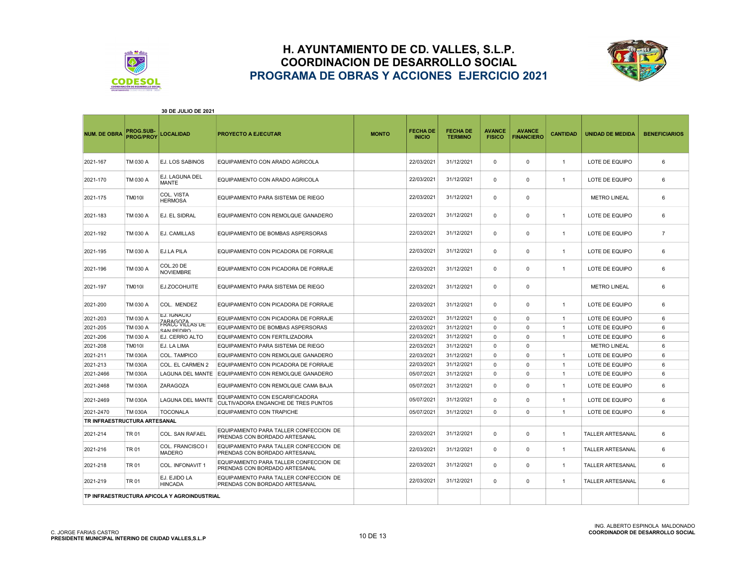



| 30 DE JULIO DE 2021          |                                             |                                          |                                                                         |              |                                  |                                   |                                |                                    |                 |                         |                      |
|------------------------------|---------------------------------------------|------------------------------------------|-------------------------------------------------------------------------|--------------|----------------------------------|-----------------------------------|--------------------------------|------------------------------------|-----------------|-------------------------|----------------------|
| <b>NUM. DE OBRA</b>          | <b>PROG.SUB-</b><br><b>PROG/PROY</b>        | <b>LOCALIDAD</b>                         | <b>PROYECTO A EJECUTAR</b>                                              | <b>MONTO</b> | <b>FECHA DE</b><br><b>INICIO</b> | <b>FECHA DE</b><br><b>TERMINO</b> | <b>AVANCE</b><br><b>FISICO</b> | <b>AVANCE</b><br><b>FINANCIERO</b> | <b>CANTIDAD</b> | <b>UNIDAD DE MEDIDA</b> | <b>BENEFICIARIOS</b> |
| 2021-167                     | TM 030 A                                    | <b>EJ. LOS SABINOS</b>                   | EQUIPAMIENTO CON ARADO AGRICOLA                                         |              | 22/03/2021                       | 31/12/2021                        | 0                              | $\mathbf 0$                        | $\overline{1}$  | LOTE DE EQUIPO          | 6                    |
| 2021-170                     | TM 030 A                                    | EJ. LAGUNA DEL<br>MANTE                  | EQUIPAMIENTO CON ARADO AGRICOLA                                         |              | 22/03/2021                       | 31/12/2021                        | $\Omega$                       | $\mathbf 0$                        | $\overline{1}$  | LOTE DE EQUIPO          | 6                    |
| 2021-175                     | TM010I                                      | COL. VISTA<br><b>HERMOSA</b>             | EQUIPAMIENTO PARA SISTEMA DE RIEGO                                      |              | 22/03/2021                       | 31/12/2021                        | 0                              | 0                                  |                 | <b>METRO LINEAL</b>     | 6                    |
| 2021-183                     | TM 030 A                                    | EJ. EL SIDRAL                            | EQUIPAMIENTO CON REMOLQUE GANADERO                                      |              | 22/03/2021                       | 31/12/2021                        | 0                              | 0                                  | $\mathbf{1}$    | LOTE DE EQUIPO          | 6                    |
| 2021-192                     | TM 030 A                                    | <b>EJ. CAMILLAS</b>                      | EQUIPAMIENTO DE BOMBAS ASPERSORAS                                       |              | 22/03/2021                       | 31/12/2021                        | $\Omega$                       | 0                                  | $\overline{1}$  | LOTE DE EQUIPO          | $\overline{7}$       |
| 2021-195                     | TM 030 A                                    | <b>EJ.LA PILA</b>                        | EQUIPAMIENTO CON PICADORA DE FORRAJE                                    |              | 22/03/2021                       | 31/12/2021                        | 0                              | 0                                  | $\overline{1}$  | LOTE DE EQUIPO          | 6                    |
| 2021-196                     | TM 030 A                                    | COL.20 DE<br><b>NOVIEMBRE</b>            | EQUIPAMIENTO CON PICADORA DE FORRAJE                                    |              | 22/03/2021                       | 31/12/2021                        | $\Omega$                       | $\mathbf 0$                        | $\overline{1}$  | LOTE DE EQUIPO          | 6                    |
| 2021-197                     | <b>TM010I</b>                               | EJ.ZOCOHUITE                             | EQUIPAMIENTO PARA SISTEMA DE RIEGO                                      |              | 22/03/2021                       | 31/12/2021                        | $\Omega$                       | $\mathbf 0$                        |                 | <b>METRO LINEAL</b>     | 6                    |
| 2021-200                     | TM 030 A                                    | COL. MENDEZ                              | EQUIPAMIENTO CON PICADORA DE FORRAJE                                    |              | 22/03/2021                       | 31/12/2021                        | $\Omega$                       | $\mathbf 0$                        | $\mathbf{1}$    | LOTE DE EQUIPO          | 6                    |
| 2021-203                     | TM 030 A                                    | EJ. IGNACIO                              | EQUIPAMIENTO CON PICADORA DE FORRAJE                                    |              | 22/03/2021                       | 31/12/2021                        | $\mathbf 0$                    | 0                                  | $\overline{1}$  | LOTE DE EQUIPO          | 6                    |
| 2021-205                     | TM 030 A                                    | ZARAGOZA<br>FRACC VILLAS DE<br>SAN PEDRO | EQUIPAMIENTO DE BOMBAS ASPERSORAS                                       |              | 22/03/2021                       | 31/12/2021                        | $\mathbf 0$                    | 0                                  | $\overline{1}$  | LOTE DE EQUIPO          | 6                    |
| 2021-206                     | TM 030 A                                    | <b>EJ. CERRO ALTO</b>                    | EQUIPAMIENTO CON FERTILIZADORA                                          |              | 22/03/2021                       | 31/12/2021                        | $\Omega$                       | $\Omega$                           | $\overline{1}$  | LOTE DE EQUIPO          | 6                    |
| 2021-208                     | <b>TM010I</b>                               | EJ. LA LIMA                              | EQUIPAMIENTO PARA SISTEMA DE RIEGO                                      |              | 22/03/2021                       | 31/12/2021                        | $\Omega$                       | $\Omega$                           |                 | <b>METRO LINEAL</b>     | 6                    |
| 2021-211                     | <b>TM 030A</b>                              | COL. TAMPICO                             | EQUIPAMIENTO CON REMOLQUE GANADERO                                      |              | 22/03/2021                       | 31/12/2021                        | $\Omega$                       | $\Omega$                           | $\overline{1}$  | LOTE DE EQUIPO          | 6                    |
| 2021-213                     | <b>TM 030A</b>                              | COL. EL CARMEN 2                         | EQUIPAMIENTO CON PICADORA DE FORRAJE                                    |              | 22/03/2021                       | 31/12/2021                        | $\Omega$                       | $\Omega$                           | $\overline{1}$  | LOTE DE EQUIPO          | 6                    |
| 2021-2466                    | <b>TM 030A</b>                              | <b>LAGUNA DEL MANTE</b>                  | EQUIPAMIENTO CON REMOLQUE GANADERO                                      |              | 05/07/2021                       | 31/12/2021                        | $\Omega$                       | $\mathbf 0$                        | $\overline{1}$  | LOTE DE EQUIPO          | ĥ                    |
| 2021-2468                    | <b>TM 030A</b>                              | <b>ZARAGOZA</b>                          | EQUIPAMIENTO CON REMOLQUE CAMA BAJA                                     |              | 05/07/2021                       | 31/12/2021                        | 0                              | $\mathbf 0$                        | $\overline{1}$  | LOTE DE EQUIPO          | 6                    |
| 2021-2469                    | <b>TM 030A</b>                              | <b>LAGUNA DEL MANTE</b>                  | EQUIPAMIENTO CON ESCARIFICADORA<br>CULTIVADORA ENGANCHE DE TRES PUNTOS  |              | 05/07/2021                       | 31/12/2021                        | $\Omega$                       | $\mathbf 0$                        | $\overline{1}$  | LOTE DE EQUIPO          | 6                    |
| 2021-2470                    | <b>TM 030A</b>                              | <b>TOCONALA</b>                          | EQUIPAMIENTO CON TRAPICHE                                               |              | 05/07/2021                       | 31/12/2021                        | $\Omega$                       | 0                                  | $\mathbf{1}$    | LOTE DE EQUIPO          | 6                    |
| TR INFRAESTRUCTURA ARTESANAL |                                             |                                          |                                                                         |              |                                  |                                   |                                |                                    |                 |                         |                      |
| 2021-214                     | TR 01                                       | COL. SAN RAFAEL                          | EQUIPAMIENTO PARA TALLER CONFECCION DE<br>PRENDAS CON BORDADO ARTESANAL |              | 22/03/2021                       | 31/12/2021                        | $\Omega$                       | $\Omega$                           | $\overline{1}$  | <b>TALLER ARTESANAL</b> | 6                    |
| 2021-216                     | TR 01                                       | COL. FRANCISCO I<br><b>MADERO</b>        | EQUIPAMIENTO PARA TALLER CONFECCION DE<br>PRENDAS CON BORDADO ARTESANAL |              | 22/03/2021                       | 31/12/2021                        | 0                              | $\mathbf 0$                        | $\overline{1}$  | <b>TALLER ARTESANAL</b> | 6                    |
| 2021-218                     | TR 01                                       | COL. INFONAVIT 1                         | EQUIPAMIENTO PARA TALLER CONFECCION DE<br>PRENDAS CON BORDADO ARTESANAL |              | 22/03/2021                       | 31/12/2021                        | $\Omega$                       | $\Omega$                           | $\overline{1}$  | <b>TALLER ARTESANAL</b> | 6                    |
| 2021-219                     | TR 01                                       | EJ. EJIDO LA<br><b>HINCADA</b>           | EQUIPAMIENTO PARA TALLER CONFECCION DE<br>PRENDAS CON BORDADO ARTESANAL |              | 22/03/2021                       | 31/12/2021                        | 0                              | 0                                  | $\overline{1}$  | <b>TALLER ARTESANAL</b> | 6                    |
|                              | TP INFRAESTRUCTURA APICOLA Y AGROINDUSTRIAL |                                          |                                                                         |              |                                  |                                   |                                |                                    |                 |                         |                      |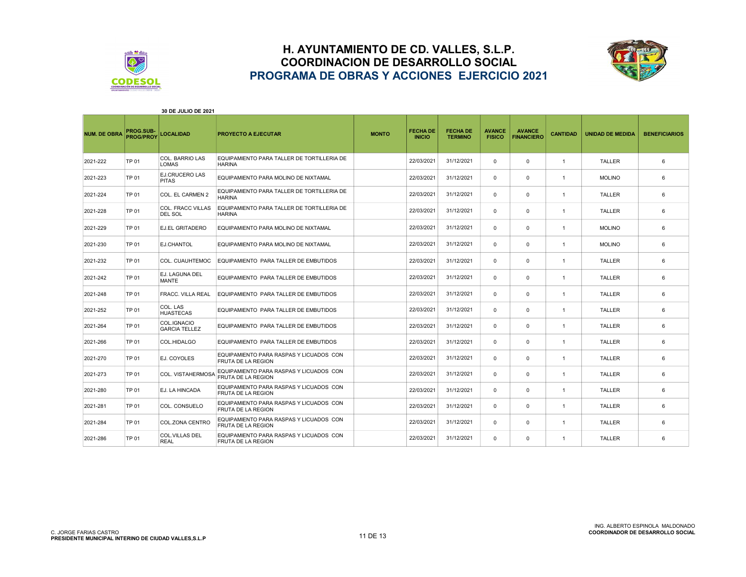



| 30 DE JULIO DE 2021 |                                      |                                            |                                                                      |              |                                  |                                   |                                |                                    |                 |                         |                      |
|---------------------|--------------------------------------|--------------------------------------------|----------------------------------------------------------------------|--------------|----------------------------------|-----------------------------------|--------------------------------|------------------------------------|-----------------|-------------------------|----------------------|
| <b>NUM. DE OBRA</b> | <b>PROG.SUB-</b><br><b>PROG/PROY</b> | <b>LOCALIDAD</b>                           | <b>PROYECTO A EJECUTAR</b>                                           | <b>MONTO</b> | <b>FECHA DE</b><br><b>INICIO</b> | <b>FECHA DE</b><br><b>TERMINO</b> | <b>AVANCE</b><br><b>FISICO</b> | <b>AVANCE</b><br><b>FINANCIERO</b> | <b>CANTIDAD</b> | <b>UNIDAD DE MEDIDA</b> | <b>BENEFICIARIOS</b> |
| 2021-222            | TP 01                                | <b>COL. BARRIO LAS</b><br><b>LOMAS</b>     | EQUIPAMIENTO PARA TALLER DE TORTILLERIA DE<br><b>HARINA</b>          |              | 22/03/2021                       | 31/12/2021                        | 0                              | $\mathbf 0$                        | $\overline{1}$  | <b>TALLER</b>           | 6                    |
| 2021-223            | TP 01                                | <b>EJ.CRUCERO LAS</b><br><b>PITAS</b>      | EQUIPAMIENTO PARA MOLINO DE NIXTAMAL                                 |              | 22/03/2021                       | 31/12/2021                        | $\mathbf 0$                    | 0                                  | $\overline{1}$  | <b>MOLINO</b>           | 6                    |
| 2021-224            | <b>TP 01</b>                         | COL. EL CARMEN 2                           | EQUIPAMIENTO PARA TALLER DE TORTILLERIA DE<br><b>HARINA</b>          |              | 22/03/2021                       | 31/12/2021                        | $\mathbf 0$                    | $\mathbf 0$                        | $\overline{1}$  | TALLER                  | 6                    |
| 2021-228            | TP 01                                | <b>COL. FRACC VILLAS</b><br><b>DEL SOL</b> | EQUIPAMIENTO PARA TALLER DE TORTILLERIA DE<br><b>HARINA</b>          |              | 22/03/2021                       | 31/12/2021                        | $\Omega$                       | $\mathbf{0}$                       | $\overline{1}$  | <b>TALLER</b>           | 6                    |
| 2021-229            | <b>TP 01</b>                         | <b>EJ.EL GRITADERO</b>                     | EQUIPAMIENTO PARA MOLINO DE NIXTAMAL                                 |              | 22/03/2021                       | 31/12/2021                        | $\Omega$                       | $\mathbf 0$                        | $\overline{1}$  | <b>MOLINO</b>           | 6                    |
| 2021-230            | TP 01                                | EJ.CHANTOL                                 | EQUIPAMIENTO PARA MOLINO DE NIXTAMAL                                 |              | 22/03/2021                       | 31/12/2021                        | 0                              | $\mathbf 0$                        | $\mathbf{1}$    | <b>MOLINO</b>           | 6                    |
| 2021-232            | TP 01                                | COL. CUAUHTEMOC                            | EQUIPAMIENTO PARA TALLER DE EMBUTIDOS                                |              | 22/03/2021                       | 31/12/2021                        | $\Omega$                       | $\mathbf 0$                        | $\overline{1}$  | TALLER                  | 6                    |
| 2021-242            | TP 01                                | EJ. LAGUNA DEL<br>MANTE                    | EQUIPAMIENTO PARA TALLER DE EMBUTIDOS                                |              | 22/03/2021                       | 31/12/2021                        | 0                              | $\mathbf 0$                        | $\mathbf{1}$    | <b>TALLER</b>           | 6                    |
| 2021-248            | <b>TP 01</b>                         | FRACC. VILLA REAL                          | EQUIPAMIENTO PARA TALLER DE EMBUTIDOS                                |              | 22/03/2021                       | 31/12/2021                        | 0                              | $\mathbf 0$                        | $\mathbf{1}$    | <b>TALLER</b>           | 6                    |
| 2021-252            | TP 01                                | COL. LAS<br><b>HUASTECAS</b>               | EQUIPAMIENTO PARA TALLER DE EMBUTIDOS                                |              | 22/03/2021                       | 31/12/2021                        | $\mathbf 0$                    | $\mathbf 0$                        | $\overline{1}$  | TALLER                  | 6                    |
| 2021-264            | TP 01                                | COL.IGNACIO<br><b>GARCIA TELLEZ</b>        | EQUIPAMIENTO PARA TALLER DE EMBUTIDOS                                |              | 22/03/2021                       | 31/12/2021                        | 0                              | $\mathbf 0$                        | $\mathbf{1}$    | <b>TALLER</b>           | 6                    |
| 2021-266            | TP 01                                | COL.HIDALGO                                | EQUIPAMIENTO PARA TALLER DE EMBUTIDOS                                |              | 22/03/2021                       | 31/12/2021                        | 0                              | $\mathbf 0$                        | $\overline{1}$  | <b>TALLER</b>           | 6                    |
| 2021-270            | TP 01                                | EJ. COYOLES                                | EQUIPAMIENTO PARA RASPAS Y LICUADOS CON<br><b>FRUTA DE LA REGION</b> |              | 22/03/2021                       | 31/12/2021                        | $\Omega$                       | $\mathbf 0$                        | $\overline{1}$  | <b>TALLER</b>           | 6                    |
| 2021-273            | TP 01                                | <b>COL. VISTAHERMOSA</b>                   | EQUIPAMIENTO PARA RASPAS Y LICUADOS CON<br><b>FRUTA DE LA REGION</b> |              | 22/03/2021                       | 31/12/2021                        | $\Omega$                       | $\mathbf 0$                        | $\overline{1}$  | <b>TALLER</b>           | 6                    |
| 2021-280            | <b>TP 01</b>                         | EJ. LA HINCADA                             | EQUIPAMIENTO PARA RASPAS Y LICUADOS CON<br><b>FRUTA DE LA REGION</b> |              | 22/03/2021                       | 31/12/2021                        | 0                              | $\mathbf 0$                        | $\mathbf{1}$    | <b>TALLER</b>           | 6                    |
| 2021-281            | TP 01                                | COL. CONSUELO                              | EQUIPAMIENTO PARA RASPAS Y LICUADOS CON<br><b>FRUTA DE LA REGION</b> |              | 22/03/2021                       | 31/12/2021                        | 0                              | $\mathbf 0$                        | $\mathbf{1}$    | <b>TALLER</b>           | 6                    |
| 2021-284            | TP 01                                | COL.ZONA CENTRO                            | EQUIPAMIENTO PARA RASPAS Y LICUADOS CON<br><b>FRUTA DE LA REGION</b> |              | 22/03/2021                       | 31/12/2021                        | $\mathbf 0$                    | 0                                  | $\overline{1}$  | <b>TALLER</b>           | 6                    |
| 2021-286            | TP 01                                | COL.VILLAS DEL<br><b>REAL</b>              | EQUIPAMIENTO PARA RASPAS Y LICUADOS CON<br>FRUTA DE LA REGION        |              | 22/03/2021                       | 31/12/2021                        | $\Omega$                       | $\Omega$                           | $\mathbf{1}$    | TALLER                  | 6                    |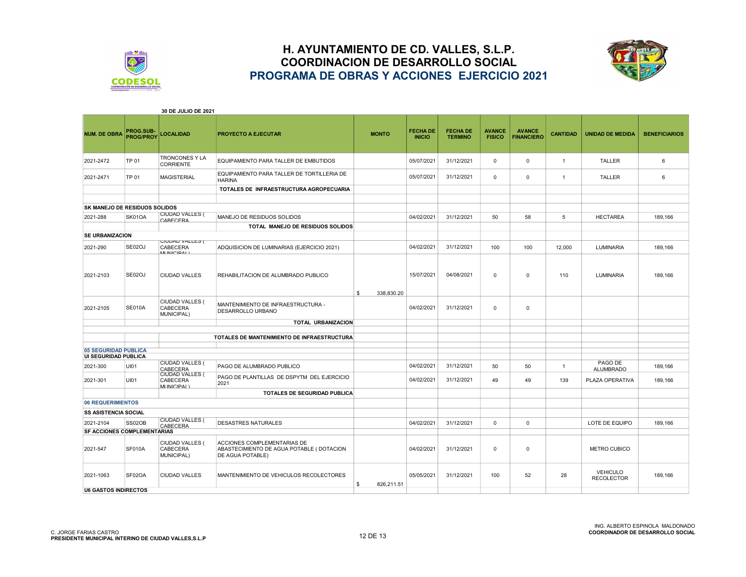



| 30 DE JULIO DE 2021                  |                                      |                                                              |                                                                                             |                  |                                  |                                   |                                |                                    |                 |                                      |                      |
|--------------------------------------|--------------------------------------|--------------------------------------------------------------|---------------------------------------------------------------------------------------------|------------------|----------------------------------|-----------------------------------|--------------------------------|------------------------------------|-----------------|--------------------------------------|----------------------|
| <b>NUM. DE OBRA</b>                  | <b>PROG.SUB-</b><br><b>PROG/PROY</b> | <b>LOCALIDAD</b>                                             | <b>PROYECTO A EJECUTAR</b>                                                                  | <b>MONTO</b>     | <b>FECHA DE</b><br><b>INICIO</b> | <b>FECHA DE</b><br><b>TERMINO</b> | <b>AVANCE</b><br><b>FISICO</b> | <b>AVANCE</b><br><b>FINANCIERO</b> | <b>CANTIDAD</b> | <b>UNIDAD DE MEDIDA</b>              | <b>BENEFICIARIOS</b> |
| 2021-2472                            | TP 01                                | <b>TRONCONES Y LA</b><br><b>CORRIENTE</b>                    | EQUIPAMIENTO PARA TALLER DE EMBUTIDOS                                                       |                  | 05/07/2021                       | 31/12/2021                        | 0                              | 0                                  | $\overline{1}$  | TALLER                               | 6                    |
| 2021-2471                            | TP 01                                | <b>MAGISTERIAL</b>                                           | EQUIPAMIENTO PARA TALLER DE TORTILLERIA DE<br><b>HARINA</b>                                 |                  | 05/07/2021                       | 31/12/2021                        | 0                              | 0                                  | $\overline{1}$  | TALLER                               | 6                    |
|                                      |                                      |                                                              | TOTALES DE INFRAESTRUCTURA AGROPECUARIA                                                     |                  |                                  |                                   |                                |                                    |                 |                                      |                      |
|                                      |                                      |                                                              |                                                                                             |                  |                                  |                                   |                                |                                    |                 |                                      |                      |
| <b>SK MANEJO DE RESIDUOS SOLIDOS</b> |                                      |                                                              |                                                                                             |                  |                                  |                                   |                                |                                    |                 |                                      |                      |
| 2021-288                             | SK01OA                               | <b>CIUDAD VALLES (</b><br>CARECERA                           | MANEJO DE RESIDUOS SOLIDOS                                                                  |                  | 04/02/2021                       | 31/12/2021                        | 50                             | 58                                 | 5               | <b>HECTAREA</b>                      | 189,166              |
|                                      |                                      |                                                              | TOTAL MANEJO DE RESIDUOS SOLIDOS                                                            |                  |                                  |                                   |                                |                                    |                 |                                      |                      |
| SE URBANIZACION                      |                                      |                                                              |                                                                                             |                  |                                  |                                   |                                |                                    |                 |                                      |                      |
| 2021-290                             | SE02OJ                               | <b>UIUDAD VALLES (</b><br>CABECERA<br><b>MUNICIDALY</b>      | ADQUISICION DE LUMINARIAS (EJERCICIO 2021)                                                  |                  | 04/02/2021                       | 31/12/2021                        | 100                            | 100                                | 12,000          | <b>LUMINARIA</b>                     | 189,166              |
| 2021-2103                            | SE02OJ                               | <b>CIUDAD VALLES</b>                                         | REHABILITACION DE ALUMBRADO PUBLICO                                                         | 338,830.20<br>\$ | 15/07/2021                       | 04/08/2021                        | $\mathbf 0$                    | $\mathbf 0$                        | 110             | LUMINARIA                            | 189,166              |
| 2021-2105                            | <b>SE010A</b>                        | CIUDAD VALLES (<br>CABECERA<br>MUNICIPAL)                    | MANTENIMIENTO DE INFRAESTRUCTURA -<br>DESARROLLO URBANO                                     |                  | 04/02/2021                       | 31/12/2021                        | 0                              | 0                                  |                 |                                      |                      |
|                                      |                                      |                                                              | <b>TOTAL URBANIZACION</b>                                                                   |                  |                                  |                                   |                                |                                    |                 |                                      |                      |
|                                      |                                      |                                                              | TOTALES DE MANTENIMIENTO DE INFRAESTRUCTURA                                                 |                  |                                  |                                   |                                |                                    |                 |                                      |                      |
| <b>05 SEGURIDAD PUBLICA</b>          |                                      |                                                              |                                                                                             |                  |                                  |                                   |                                |                                    |                 |                                      |                      |
| <b>UI SEGURIDAD PUBLICA</b>          |                                      |                                                              |                                                                                             |                  |                                  |                                   |                                |                                    |                 |                                      |                      |
| 2021-300                             | UI01                                 | <b>CIUDAD VALLES (</b><br>CABECERA<br><b>CIUDAD VALLES (</b> | PAGO DE ALUMBRADO PUBLICO                                                                   |                  | 04/02/2021                       | 31/12/2021                        | 50                             | 50                                 | $\overline{1}$  | PAGO DE<br><b>ALUMBRADO</b>          | 189,166              |
| 2021-301                             | UI01                                 | CABECERA<br>MUNICIPAL)                                       | PAGO DE PLANTILLAS DE DSPYTM DEL EJERCICIO<br>2021                                          |                  | 04/02/2021                       | 31/12/2021                        | 49                             | 49                                 | 139             | PLAZA OPERATIVA                      | 189,166              |
|                                      |                                      |                                                              | <b>TOTALES DE SEGURIDAD PUBLICA</b>                                                         |                  |                                  |                                   |                                |                                    |                 |                                      |                      |
| <b>06 REQUERIMIENTOS</b>             |                                      |                                                              |                                                                                             |                  |                                  |                                   |                                |                                    |                 |                                      |                      |
| <b>SS ASISTENCIA SOCIAL</b>          |                                      |                                                              |                                                                                             |                  |                                  |                                   |                                |                                    |                 |                                      |                      |
| 2021-2104                            | <b>SS02OB</b>                        | <b>CIUDAD VALLES (</b><br>CABECERA                           | DESASTRES NATURALES                                                                         |                  | 04/02/2021                       | 31/12/2021                        | 0                              | 0                                  |                 | LOTE DE EQUIPO                       | 189,166              |
| SF ACCIONES COMPLEMENTARIAS          |                                      |                                                              |                                                                                             |                  |                                  |                                   |                                |                                    |                 |                                      |                      |
| 2021-547                             | <b>SF010A</b>                        | CIUDAD VALLES (<br>CABECERA<br>MUNICIPAL)                    | ACCIONES COMPLEMENTARIAS DE<br>ABASTECIMIENTO DE AGUA POTABLE (DOTACION<br>DE AGUA POTABLE) |                  | 04/02/2021                       | 31/12/2021                        | $\mathbf 0$                    | 0                                  |                 | <b>METRO CUBICO</b>                  |                      |
| 2021-1063                            | SF02OA                               | <b>CIUDAD VALLES</b>                                         | MANTENIMIENTO DE VEHICULOS RECOLECTORES                                                     | 826,211.51<br>\$ | 05/05/2021                       | 31/12/2021                        | 100                            | 52                                 | 28              | <b>VEHICULO</b><br><b>RECOLECTOR</b> | 189,166              |
| <b>U6 GASTOS INDIRECTOS</b>          |                                      |                                                              |                                                                                             |                  |                                  |                                   |                                |                                    |                 |                                      |                      |